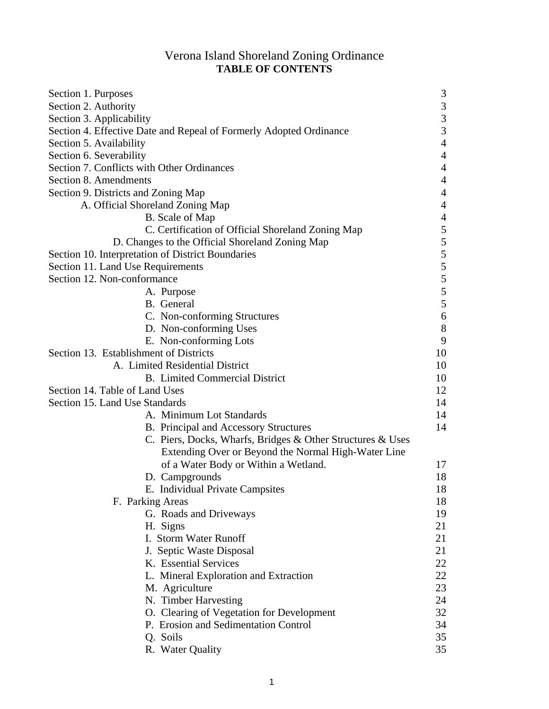# Verona Island Shoreland Zoning Ordinance **TABLE OF CONTENTS**

| Section 1. Purposes                                                | 3                        |
|--------------------------------------------------------------------|--------------------------|
| Section 2. Authority                                               | $\mathfrak{Z}$           |
| Section 3. Applicability                                           | $\frac{3}{3}$            |
| Section 4. Effective Date and Repeal of Formerly Adopted Ordinance |                          |
| Section 5. Availability                                            | $\overline{4}$           |
| Section 6. Severability                                            | $\overline{4}$           |
| Section 7. Conflicts with Other Ordinances                         | $\overline{4}$           |
| Section 8. Amendments                                              | $\overline{4}$           |
| Section 9. Districts and Zoning Map                                | $\overline{4}$           |
| A. Official Shoreland Zoning Map                                   | $\overline{4}$           |
| B. Scale of Map                                                    | $\overline{\mathcal{A}}$ |
| C. Certification of Official Shoreland Zoning Map                  | $\sqrt{5}$               |
| D. Changes to the Official Shoreland Zoning Map                    |                          |
| Section 10. Interpretation of District Boundaries                  | $555$<br>$555$           |
| Section 11. Land Use Requirements                                  |                          |
| Section 12. Non-conformance                                        |                          |
| A. Purpose                                                         |                          |
| B. General                                                         |                          |
| C. Non-conforming Structures                                       | $\sqrt{6}$               |
| D. Non-conforming Uses                                             | $\,8\,$                  |
| E. Non-conforming Lots                                             | 9                        |
| Section 13. Establishment of Districts                             | 10                       |
| A. Limited Residential District                                    | 10                       |
| <b>B.</b> Limited Commercial District                              | 10                       |
| Section 14. Table of Land Uses                                     | 12                       |
| Section 15. Land Use Standards                                     | 14                       |
| A. Minimum Lot Standards                                           | 14                       |
| <b>B.</b> Principal and Accessory Structures                       | 14                       |
| C. Piers, Docks, Wharfs, Bridges & Other Structures & Uses         |                          |
| Extending Over or Beyond the Normal High-Water Line                |                          |
| of a Water Body or Within a Wetland.                               | 17                       |
| D. Campgrounds                                                     | 18                       |
| E. Individual Private Campsites                                    | 18                       |
| F. Parking Areas                                                   | 18                       |
| G. Roads and Driveways                                             | 19                       |
| H. Signs                                                           | 21                       |
| I. Storm Water Runoff                                              | 21                       |
| J. Septic Waste Disposal                                           | 21                       |
| K. Essential Services                                              | 22                       |
| L. Mineral Exploration and Extraction                              | 22                       |
| M. Agriculture                                                     | 23                       |
| N. Timber Harvesting                                               | 24                       |
| O. Clearing of Vegetation for Development                          | 32                       |
| P. Erosion and Sedimentation Control                               | 34                       |
| Q. Soils                                                           | 35                       |
|                                                                    | 35                       |
| R. Water Quality                                                   |                          |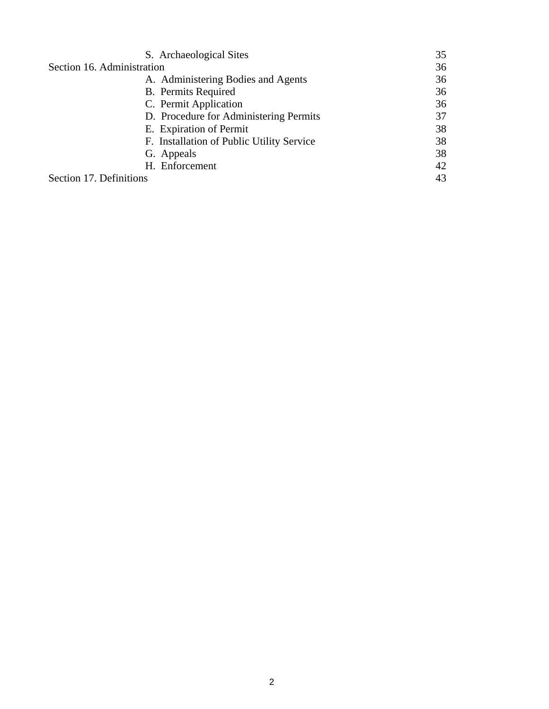| S. Archaeological Sites                   | 35 |
|-------------------------------------------|----|
| Section 16. Administration                | 36 |
| A. Administering Bodies and Agents        | 36 |
| <b>B.</b> Permits Required                | 36 |
| C. Permit Application                     | 36 |
| D. Procedure for Administering Permits    | 37 |
| E. Expiration of Permit                   | 38 |
| F. Installation of Public Utility Service | 38 |
| G. Appeals                                | 38 |
| H. Enforcement                            | 42 |
| Section 17. Definitions                   | 43 |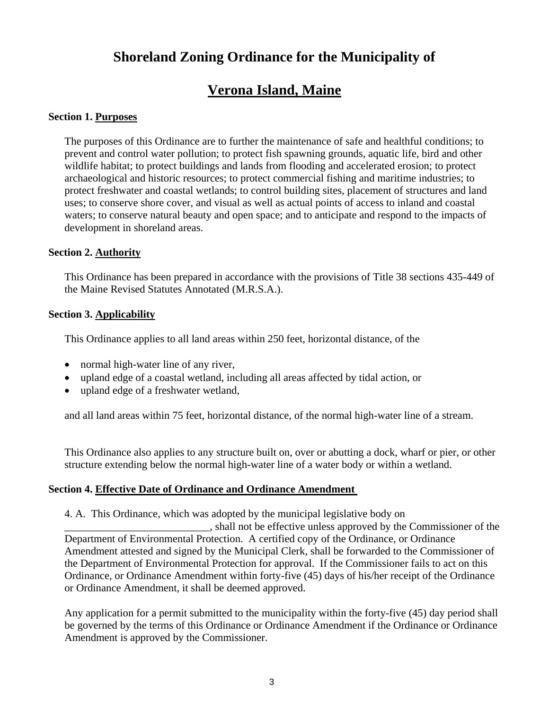# **Shoreland Zoning Ordinance for the Municipality of**

# **Verona Island, Maine**

# **Section 1. Purposes**

The purposes of this Ordinance are to further the maintenance of safe and healthful conditions; to prevent and control water pollution; to protect fish spawning grounds, aquatic life, bird and other wildlife habitat; to protect buildings and lands from flooding and accelerated erosion; to protect archaeological and historic resources; to protect commercial fishing and maritime industries; to protect freshwater and coastal wetlands; to control building sites, placement of structures and land uses; to conserve shore cover, and visual as well as actual points of access to inland and coastal waters; to conserve natural beauty and open space; and to anticipate and respond to the impacts of development in shoreland areas.

# **Section 2. Authority**

This Ordinance has been prepared in accordance with the provisions of Title 38 sections 435-449 of the Maine Revised Statutes Annotated (M.R.S.A.).

# **Section 3. Applicability**

This Ordinance applies to all land areas within 250 feet, horizontal distance, of the

- normal high-water line of any river,
- upland edge of a coastal wetland, including all areas affected by tidal action, or
- upland edge of a freshwater wetland.

and all land areas within 75 feet, horizontal distance, of the normal high-water line of a stream.

This Ordinance also applies to any structure built on, over or abutting a dock, wharf or pier, or other structure extending below the normal high-water line of a water body or within a wetland.

# **Section 4. Effective Date of Ordinance and Ordinance Amendment**

4. A. This Ordinance, which was adopted by the municipal legislative body on \_\_\_\_\_\_\_\_\_\_\_\_\_\_\_\_\_\_\_\_\_\_\_\_\_\_\_, shall not be effective unless approved by the Commissioner of the Department of Environmental Protection. A certified copy of the Ordinance, or Ordinance Amendment attested and signed by the Municipal Clerk, shall be forwarded to the Commissioner of the Department of Environmental Protection for approval. If the Commissioner fails to act on this Ordinance, or Ordinance Amendment within forty-five (45) days of his/her receipt of the Ordinance or Ordinance Amendment, it shall be deemed approved.

Any application for a permit submitted to the municipality within the forty-five (45) day period shall be governed by the terms of this Ordinance or Ordinance Amendment if the Ordinance or Ordinance Amendment is approved by the Commissioner.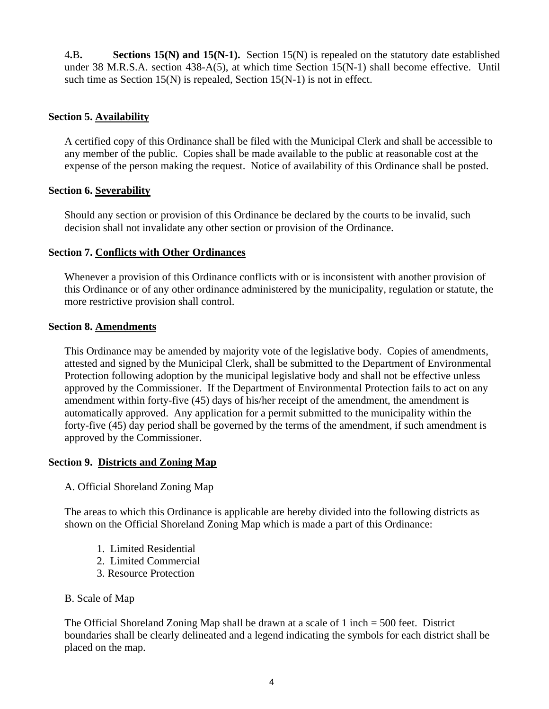4**.**B**. Sections 15(N) and 15(N-1).** Section 15(N) is repealed on the statutory date established under 38 M.R.S.A. section 438-A(5), at which time Section 15(N-1) shall become effective. Until such time as Section 15(N) is repealed, Section 15(N-1) is not in effect.

# **Section 5. Availability**

A certified copy of this Ordinance shall be filed with the Municipal Clerk and shall be accessible to any member of the public. Copies shall be made available to the public at reasonable cost at the expense of the person making the request. Notice of availability of this Ordinance shall be posted.

# **Section 6. Severability**

Should any section or provision of this Ordinance be declared by the courts to be invalid, such decision shall not invalidate any other section or provision of the Ordinance.

# **Section 7. Conflicts with Other Ordinances**

Whenever a provision of this Ordinance conflicts with or is inconsistent with another provision of this Ordinance or of any other ordinance administered by the municipality, regulation or statute, the more restrictive provision shall control.

# **Section 8. Amendments**

This Ordinance may be amended by majority vote of the legislative body. Copies of amendments, attested and signed by the Municipal Clerk, shall be submitted to the Department of Environmental Protection following adoption by the municipal legislative body and shall not be effective unless approved by the Commissioner. If the Department of Environmental Protection fails to act on any amendment within forty-five (45) days of his/her receipt of the amendment, the amendment is automatically approved. Any application for a permit submitted to the municipality within the forty-five (45) day period shall be governed by the terms of the amendment, if such amendment is approved by the Commissioner.

# **Section 9. Districts and Zoning Map**

A. Official Shoreland Zoning Map

The areas to which this Ordinance is applicable are hereby divided into the following districts as shown on the Official Shoreland Zoning Map which is made a part of this Ordinance:

- 1. Limited Residential
- 2. Limited Commercial
- 3. Resource Protection

# B. Scale of Map

The Official Shoreland Zoning Map shall be drawn at a scale of 1 inch = 500 feet. District boundaries shall be clearly delineated and a legend indicating the symbols for each district shall be placed on the map.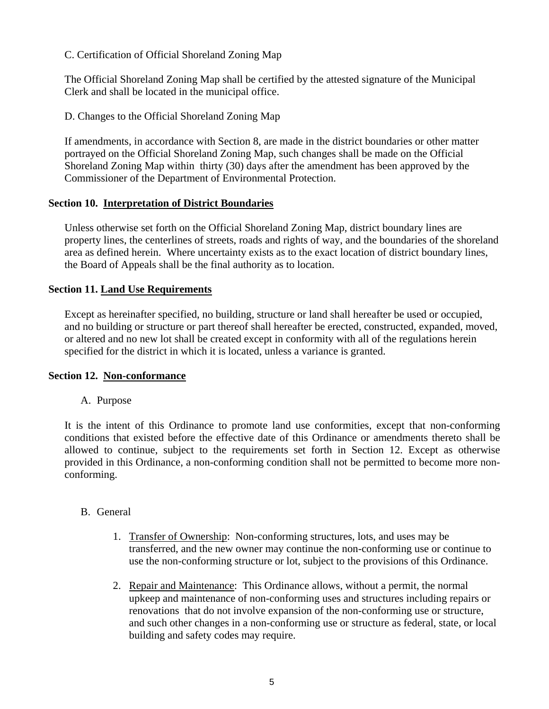C. Certification of Official Shoreland Zoning Map

The Official Shoreland Zoning Map shall be certified by the attested signature of the Municipal Clerk and shall be located in the municipal office.

D. Changes to the Official Shoreland Zoning Map

If amendments, in accordance with Section 8, are made in the district boundaries or other matter portrayed on the Official Shoreland Zoning Map, such changes shall be made on the Official Shoreland Zoning Map within thirty (30) days after the amendment has been approved by the Commissioner of the Department of Environmental Protection.

# **Section 10. Interpretation of District Boundaries**

Unless otherwise set forth on the Official Shoreland Zoning Map, district boundary lines are property lines, the centerlines of streets, roads and rights of way, and the boundaries of the shoreland area as defined herein. Where uncertainty exists as to the exact location of district boundary lines, the Board of Appeals shall be the final authority as to location.

# **Section 11. Land Use Requirements**

Except as hereinafter specified, no building, structure or land shall hereafter be used or occupied, and no building or structure or part thereof shall hereafter be erected, constructed, expanded, moved, or altered and no new lot shall be created except in conformity with all of the regulations herein specified for the district in which it is located, unless a variance is granted.

# **Section 12. Non-conformance**

# A. Purpose

It is the intent of this Ordinance to promote land use conformities, except that non-conforming conditions that existed before the effective date of this Ordinance or amendments thereto shall be allowed to continue, subject to the requirements set forth in Section 12. Except as otherwise provided in this Ordinance, a non-conforming condition shall not be permitted to become more nonconforming.

# B. General

- 1. Transfer of Ownership: Non-conforming structures, lots, and uses may be transferred, and the new owner may continue the non-conforming use or continue to use the non-conforming structure or lot, subject to the provisions of this Ordinance.
- 2. Repair and Maintenance: This Ordinance allows, without a permit, the normal upkeep and maintenance of non-conforming uses and structures including repairs or renovations that do not involve expansion of the non-conforming use or structure, and such other changes in a non-conforming use or structure as federal, state, or local building and safety codes may require.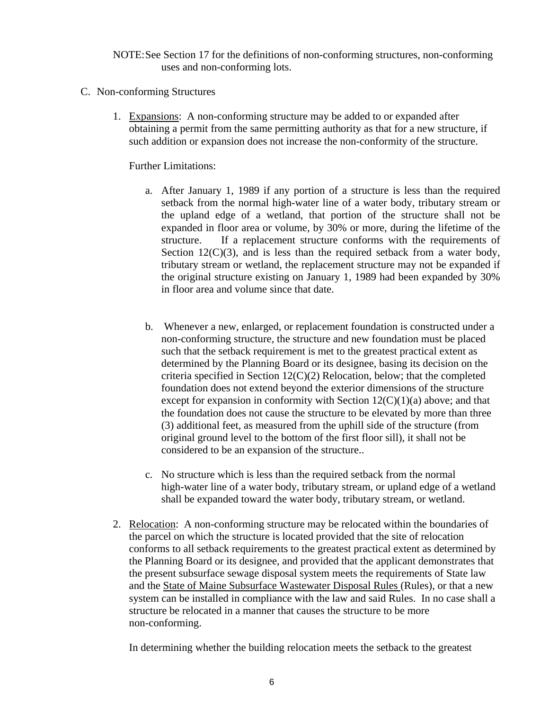NOTE: See Section 17 for the definitions of non-conforming structures, non-conforming uses and non-conforming lots.

- C. Non-conforming Structures
	- 1. Expansions: A non-conforming structure may be added to or expanded after obtaining a permit from the same permitting authority as that for a new structure, if such addition or expansion does not increase the non-conformity of the structure.

Further Limitations:

- a. After January 1, 1989 if any portion of a structure is less than the required setback from the normal high-water line of a water body, tributary stream or the upland edge of a wetland, that portion of the structure shall not be expanded in floor area or volume, by 30% or more, during the lifetime of the structure. If a replacement structure conforms with the requirements of Section  $12(C)(3)$ , and is less than the required setback from a water body, tributary stream or wetland, the replacement structure may not be expanded if the original structure existing on January 1, 1989 had been expanded by 30% in floor area and volume since that date.
- b. Whenever a new, enlarged, or replacement foundation is constructed under a non-conforming structure, the structure and new foundation must be placed such that the setback requirement is met to the greatest practical extent as determined by the Planning Board or its designee, basing its decision on the criteria specified in Section 12(C)(2) Relocation, below; that the completed foundation does not extend beyond the exterior dimensions of the structure except for expansion in conformity with Section  $12(C)(1)(a)$  above; and that the foundation does not cause the structure to be elevated by more than three (3) additional feet, as measured from the uphill side of the structure (from original ground level to the bottom of the first floor sill), it shall not be considered to be an expansion of the structure..
- c. No structure which is less than the required setback from the normal high-water line of a water body, tributary stream, or upland edge of a wetland shall be expanded toward the water body, tributary stream, or wetland.
- 2. Relocation: A non-conforming structure may be relocated within the boundaries of the parcel on which the structure is located provided that the site of relocation conforms to all setback requirements to the greatest practical extent as determined by the Planning Board or its designee, and provided that the applicant demonstrates that the present subsurface sewage disposal system meets the requirements of State law and the State of Maine Subsurface Wastewater Disposal Rules (Rules), or that a new system can be installed in compliance with the law and said Rules. In no case shall a structure be relocated in a manner that causes the structure to be more non-conforming.

In determining whether the building relocation meets the setback to the greatest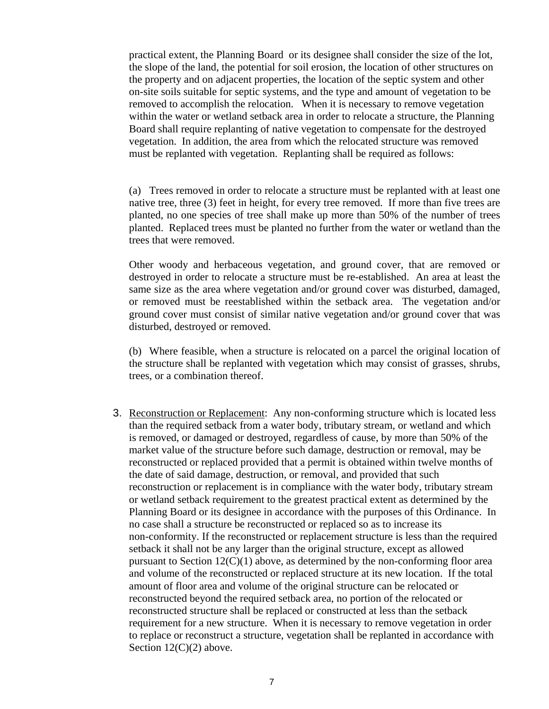practical extent, the Planning Board or its designee shall consider the size of the lot, the slope of the land, the potential for soil erosion, the location of other structures on the property and on adjacent properties, the location of the septic system and other on-site soils suitable for septic systems, and the type and amount of vegetation to be removed to accomplish the relocation. When it is necessary to remove vegetation within the water or wetland setback area in order to relocate a structure, the Planning Board shall require replanting of native vegetation to compensate for the destroyed vegetation. In addition, the area from which the relocated structure was removed must be replanted with vegetation. Replanting shall be required as follows:

(a) Trees removed in order to relocate a structure must be replanted with at least one native tree, three (3) feet in height, for every tree removed. If more than five trees are planted, no one species of tree shall make up more than 50% of the number of trees planted. Replaced trees must be planted no further from the water or wetland than the trees that were removed.

Other woody and herbaceous vegetation, and ground cover, that are removed or destroyed in order to relocate a structure must be re-established. An area at least the same size as the area where vegetation and/or ground cover was disturbed, damaged, or removed must be reestablished within the setback area. The vegetation and/or ground cover must consist of similar native vegetation and/or ground cover that was disturbed, destroyed or removed.

(b) Where feasible, when a structure is relocated on a parcel the original location of the structure shall be replanted with vegetation which may consist of grasses, shrubs, trees, or a combination thereof.

 3. Reconstruction or Replacement: Any non-conforming structure which is located less than the required setback from a water body, tributary stream, or wetland and which is removed, or damaged or destroyed, regardless of cause, by more than 50% of the market value of the structure before such damage, destruction or removal, may be reconstructed or replaced provided that a permit is obtained within twelve months of the date of said damage, destruction, or removal, and provided that such reconstruction or replacement is in compliance with the water body, tributary stream or wetland setback requirement to the greatest practical extent as determined by the Planning Board or its designee in accordance with the purposes of this Ordinance. In no case shall a structure be reconstructed or replaced so as to increase its non-conformity. If the reconstructed or replacement structure is less than the required setback it shall not be any larger than the original structure, except as allowed pursuant to Section  $12(C)(1)$  above, as determined by the non-conforming floor area and volume of the reconstructed or replaced structure at its new location. If the total amount of floor area and volume of the original structure can be relocated or reconstructed beyond the required setback area, no portion of the relocated or reconstructed structure shall be replaced or constructed at less than the setback requirement for a new structure. When it is necessary to remove vegetation in order to replace or reconstruct a structure, vegetation shall be replanted in accordance with Section  $12(C)(2)$  above.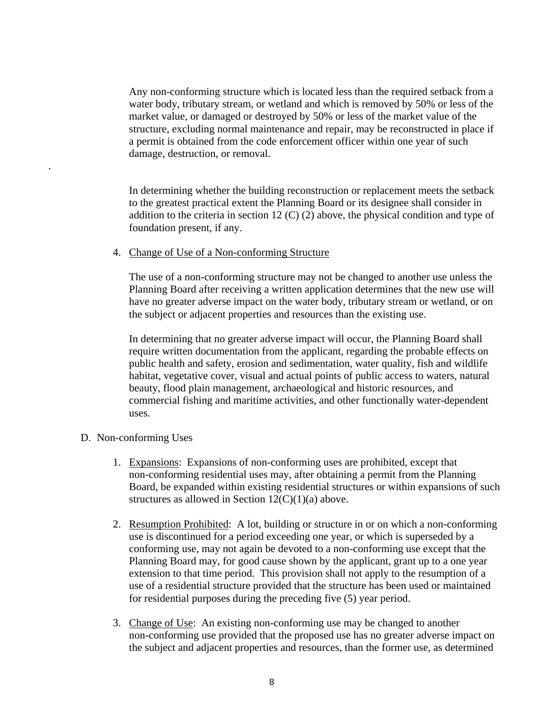Any non-conforming structure which is located less than the required setback from a water body, tributary stream, or wetland and which is removed by 50% or less of the market value, or damaged or destroyed by 50% or less of the market value of the structure, excluding normal maintenance and repair, may be reconstructed in place if a permit is obtained from the code enforcement officer within one year of such damage, destruction, or removal.

 In determining whether the building reconstruction or replacement meets the setback to the greatest practical extent the Planning Board or its designee shall consider in addition to the criteria in section 12 (C) (2) above, the physical condition and type of foundation present, if any.

4. Change of Use of a Non-conforming Structure

The use of a non-conforming structure may not be changed to another use unless the Planning Board after receiving a written application determines that the new use will have no greater adverse impact on the water body, tributary stream or wetland, or on the subject or adjacent properties and resources than the existing use.

 In determining that no greater adverse impact will occur, the Planning Board shall require written documentation from the applicant, regarding the probable effects on public health and safety, erosion and sedimentation, water quality, fish and wildlife habitat, vegetative cover, visual and actual points of public access to waters, natural beauty, flood plain management, archaeological and historic resources, and commercial fishing and maritime activities, and other functionally water-dependent uses.

D. Non-conforming Uses

.

- 1. Expansions: Expansions of non-conforming uses are prohibited, except that non-conforming residential uses may, after obtaining a permit from the Planning Board, be expanded within existing residential structures or within expansions of such structures as allowed in Section  $12(C)(1)(a)$  above.
- 2. Resumption Prohibited: A lot, building or structure in or on which a non-conforming use is discontinued for a period exceeding one year, or which is superseded by a conforming use, may not again be devoted to a non-conforming use except that the Planning Board may, for good cause shown by the applicant, grant up to a one year extension to that time period. This provision shall not apply to the resumption of a use of a residential structure provided that the structure has been used or maintained for residential purposes during the preceding five (5) year period.
- 3. Change of Use: An existing non-conforming use may be changed to another non-conforming use provided that the proposed use has no greater adverse impact on the subject and adjacent properties and resources, than the former use, as determined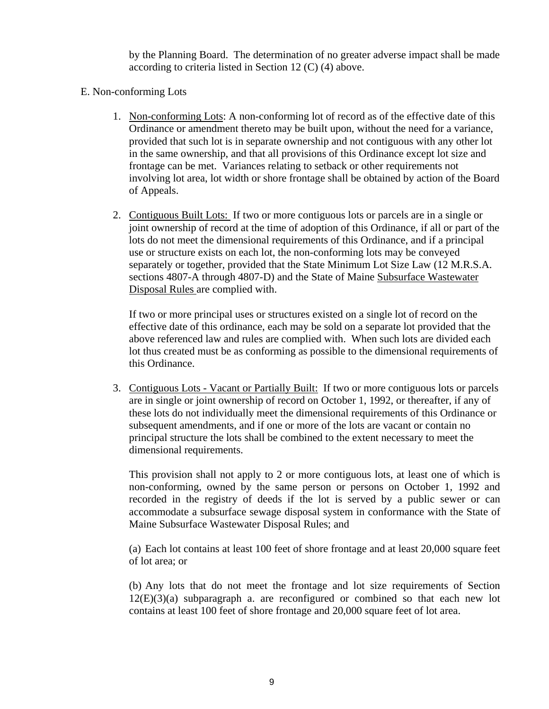by the Planning Board. The determination of no greater adverse impact shall be made according to criteria listed in Section 12 (C) (4) above.

- E. Non-conforming Lots
	- 1. Non-conforming Lots: A non-conforming lot of record as of the effective date of this Ordinance or amendment thereto may be built upon, without the need for a variance, provided that such lot is in separate ownership and not contiguous with any other lot in the same ownership, and that all provisions of this Ordinance except lot size and frontage can be met. Variances relating to setback or other requirements not involving lot area, lot width or shore frontage shall be obtained by action of the Board of Appeals.
	- 2. Contiguous Built Lots: If two or more contiguous lots or parcels are in a single or joint ownership of record at the time of adoption of this Ordinance, if all or part of the lots do not meet the dimensional requirements of this Ordinance, and if a principal use or structure exists on each lot, the non-conforming lots may be conveyed separately or together, provided that the State Minimum Lot Size Law (12 M.R.S.A. sections 4807-A through 4807-D) and the State of Maine Subsurface Wastewater Disposal Rules are complied with.

 If two or more principal uses or structures existed on a single lot of record on the effective date of this ordinance, each may be sold on a separate lot provided that the above referenced law and rules are complied with. When such lots are divided each lot thus created must be as conforming as possible to the dimensional requirements of this Ordinance.

3. Contiguous Lots - Vacant or Partially Built: If two or more contiguous lots or parcels are in single or joint ownership of record on October 1, 1992, or thereafter, if any of these lots do not individually meet the dimensional requirements of this Ordinance or subsequent amendments, and if one or more of the lots are vacant or contain no principal structure the lots shall be combined to the extent necessary to meet the dimensional requirements.

This provision shall not apply to 2 or more contiguous lots, at least one of which is non-conforming, owned by the same person or persons on October 1, 1992 and recorded in the registry of deeds if the lot is served by a public sewer or can accommodate a subsurface sewage disposal system in conformance with the State of Maine Subsurface Wastewater Disposal Rules; and

(a) Each lot contains at least 100 feet of shore frontage and at least 20,000 square feet of lot area; or

(b) Any lots that do not meet the frontage and lot size requirements of Section  $12(E)(3)(a)$  subparagraph a. are reconfigured or combined so that each new lot contains at least 100 feet of shore frontage and 20,000 square feet of lot area.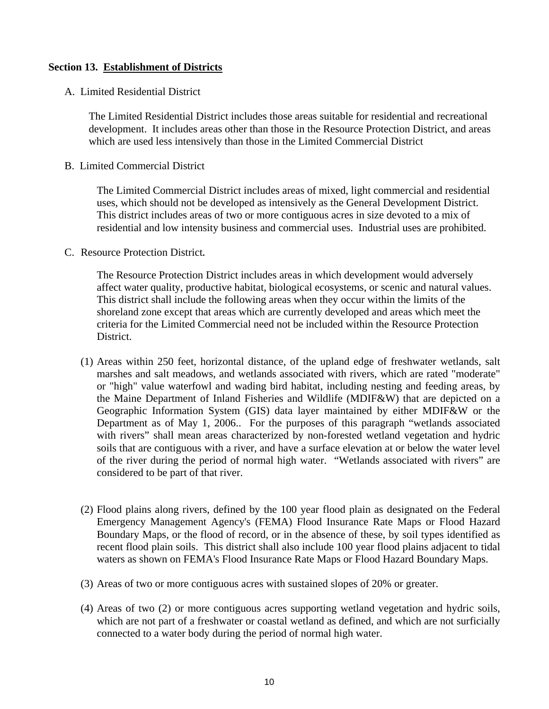# **Section 13. Establishment of Districts**

A. Limited Residential District

The Limited Residential District includes those areas suitable for residential and recreational development. It includes areas other than those in the Resource Protection District, and areas which are used less intensively than those in the Limited Commercial District

B. Limited Commercial District

 The Limited Commercial District includes areas of mixed, light commercial and residential uses, which should not be developed as intensively as the General Development District. This district includes areas of two or more contiguous acres in size devoted to a mix of residential and low intensity business and commercial uses. Industrial uses are prohibited.

C. Resource Protection District**.**

The Resource Protection District includes areas in which development would adversely affect water quality, productive habitat, biological ecosystems, or scenic and natural values. This district shall include the following areas when they occur within the limits of the shoreland zone except that areas which are currently developed and areas which meet the criteria for the Limited Commercial need not be included within the Resource Protection District.

- (1) Areas within 250 feet, horizontal distance, of the upland edge of freshwater wetlands, salt marshes and salt meadows, and wetlands associated with rivers, which are rated "moderate" or "high" value waterfowl and wading bird habitat, including nesting and feeding areas, by the Maine Department of Inland Fisheries and Wildlife (MDIF&W) that are depicted on a Geographic Information System (GIS) data layer maintained by either MDIF&W or the Department as of May 1, 2006.. For the purposes of this paragraph "wetlands associated with rivers" shall mean areas characterized by non-forested wetland vegetation and hydric soils that are contiguous with a river, and have a surface elevation at or below the water level of the river during the period of normal high water. "Wetlands associated with rivers" are considered to be part of that river.
- (2) Flood plains along rivers, defined by the 100 year flood plain as designated on the Federal Emergency Management Agency's (FEMA) Flood Insurance Rate Maps or Flood Hazard Boundary Maps, or the flood of record, or in the absence of these, by soil types identified as recent flood plain soils. This district shall also include 100 year flood plains adjacent to tidal waters as shown on FEMA's Flood Insurance Rate Maps or Flood Hazard Boundary Maps.
- (3) Areas of two or more contiguous acres with sustained slopes of 20% or greater.
- (4) Areas of two (2) or more contiguous acres supporting wetland vegetation and hydric soils, which are not part of a freshwater or coastal wetland as defined, and which are not surficially connected to a water body during the period of normal high water.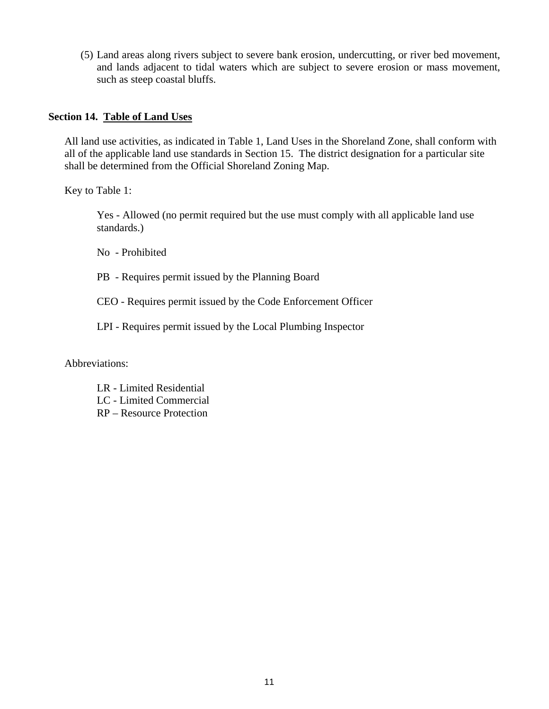(5) Land areas along rivers subject to severe bank erosion, undercutting, or river bed movement, and lands adjacent to tidal waters which are subject to severe erosion or mass movement, such as steep coastal bluffs.

#### **Section 14. Table of Land Uses**

All land use activities, as indicated in Table 1, Land Uses in the Shoreland Zone, shall conform with all of the applicable land use standards in Section 15. The district designation for a particular site shall be determined from the Official Shoreland Zoning Map.

Key to Table 1:

 Yes - Allowed (no permit required but the use must comply with all applicable land use standards.)

No - Prohibited

PB - Requires permit issued by the Planning Board

CEO - Requires permit issued by the Code Enforcement Officer

LPI - Requires permit issued by the Local Plumbing Inspector

Abbreviations:

- LR Limited Residential
- LC Limited Commercial
- RP Resource Protection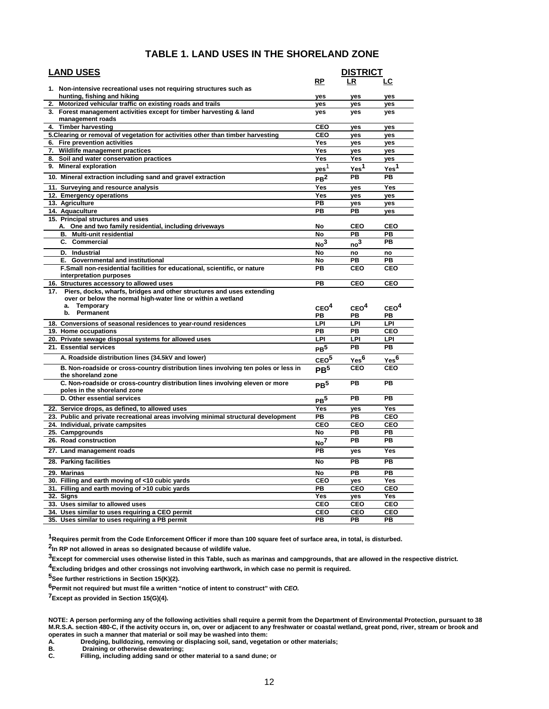| <b>LAND USES</b>                                                                   |                  | <b>DISTRICT</b>  |                  |
|------------------------------------------------------------------------------------|------------------|------------------|------------------|
|                                                                                    | <b>RP</b>        | LR               | <u>LC</u>        |
| 1. Non-intensive recreational uses not requiring structures such as                |                  |                  |                  |
| hunting, fishing and hiking                                                        | yes              | yes              | yes              |
| Motorized vehicular traffic on existing roads and trails<br>2.                     | yes              | yes              | yes              |
| 3. Forest management activities except for timber harvesting & land                | yes              | yes              | yes              |
| management roads                                                                   |                  |                  |                  |
| 4. Timber harvesting                                                               | <b>CEO</b>       | yes              | yes              |
| 5. Clearing or removal of vegetation for activities other than timber harvesting   | CEO              | yes              | yes              |
| 6. Fire prevention activities                                                      | Yes              | yes              | yes              |
| 7. Wildlife management practices                                                   | <b>Yes</b>       | <b>ves</b>       | <b>ves</b>       |
| 8. Soil and water conservation practices                                           | Yes              | Yes              | yes              |
| 9. Mineral exploration                                                             | yes <sup>1</sup> | Yes <sup>1</sup> | Yes <sup>1</sup> |
| 10. Mineral extraction including sand and gravel extraction                        | PB <sup>2</sup>  | PB               | PB               |
| 11. Surveying and resource analysis                                                | Yes              | yes              | Yes              |
| 12. Emergency operations                                                           | Yes              | yes              | yes              |
| 13. Agriculture                                                                    | PB               | yes              | yes              |
| 14. Aquaculture                                                                    | <b>PB</b>        | PB               | yes              |
| 15. Principal structures and uses                                                  |                  |                  |                  |
| A. One and two family residential, including driveways                             | No               | CEO              | CEO              |
| <b>B.</b> Multi-unit residential                                                   | No               | PB               | PB               |
| C. Commercial                                                                      | No <sup>3</sup>  | $\mathbf{no}^3$  | <b>PB</b>        |
| D. Industrial                                                                      | No               | no               | no               |
| E. Governmental and institutional                                                  | No               | PB               | PB               |
| F.Small non-residential facilities for educational, scientific, or nature          | PB               | CEO              | CEO              |
| interpretation purposes                                                            |                  |                  |                  |
| 16. Structures accessory to allowed uses                                           | PB               | <b>CEO</b>       | <b>CEO</b>       |
| 17. Piers, docks, wharfs, bridges and other structures and uses extending          |                  |                  |                  |
| over or below the normal high-water line or within a wetland                       |                  |                  |                  |
| Temporary<br>a.<br>Permanent<br>b.                                                 | CEO <sup>4</sup> | CEO <sup>4</sup> | CEO <sup>4</sup> |
|                                                                                    | PB               | PВ               | PB               |
| 18. Conversions of seasonal residences to year-round residences                    | LPI              | LPI              | LPI              |
| 19. Home occupations                                                               | PB               | PB               | CEO              |
| 20. Private sewage disposal systems for allowed uses                               | LPI              | LPI              | LPI              |
| 21. Essential services                                                             | $\mathsf{PB}^5$  | PB               | <b>PB</b>        |
| A. Roadside distribution lines (34.5kV and lower)                                  | ceo <sup>5</sup> | Yes <sup>6</sup> | Yes <sup>6</sup> |
| B. Non-roadside or cross-country distribution lines involving ten poles or less in | PR <sup>5</sup>  | CEO              | CEO              |
| the shoreland zone                                                                 |                  |                  |                  |
| C. Non-roadside or cross-country distribution lines involving eleven or more       | PB <sup>5</sup>  | PB               | <b>PB</b>        |
| poles in the shoreland zone<br>D. Other essential services                         |                  | PB               | <b>PB</b>        |
|                                                                                    | PB <sup>5</sup>  |                  |                  |
| 22. Service drops, as defined, to allowed uses                                     | Yes              | yes              | Yes              |
| 23. Public and private recreational areas involving minimal structural development | PB<br>CEO        | PB               | CEO<br>CEO       |
| 24. Individual, private campsites                                                  | No               | CEO<br>PB        | PB               |
| 25. Campgrounds<br>26. Road construction                                           |                  | PB               | <b>PB</b>        |
|                                                                                    | No <sup>7</sup>  |                  |                  |
| 27. Land management roads                                                          | PB               | yes              | Yes              |
| 28. Parking facilities                                                             | <b>No</b>        | PB               | <b>PB</b>        |
| 29. Marinas                                                                        | No               | PB               | <b>PB</b>        |
| 30. Filling and earth moving of <10 cubic yards                                    | CEO              | yes              | Yes              |
| 31. Filling and earth moving of >10 cubic yards                                    | <b>PB</b>        | CEO              | CEO              |
| 32. Signs                                                                          | <b>Yes</b>       | yes              | <b>Yes</b>       |
| 33. Uses similar to allowed uses                                                   | CEO              | <b>CEO</b>       | CEO              |
| 34. Uses similar to uses requiring a CEO permit                                    | CEO              | CEO              | CEO              |
| 35. Uses similar to uses requiring a PB permit                                     | PB               | PB               | <b>PB</b>        |

**1Requires permit from the Code Enforcement Officer if more than 100 square feet of surface area, in total, is disturbed.** 

**2In RP not allowed in areas so designated because of wildlife value.** 

**3Except for commercial uses otherwise listed in this Table, such as marinas and campgrounds, that are allowed in the respective district.** 

**4Excluding bridges and other crossings not involving earthwork, in which case no permit is required.** 

**5See further restrictions in Section 15(K)(2).** 

**6Permit not required, but must file a written "notice of intent to construct" with** *CEO.* 

**7Except as provided in Section 15(G)(4).** 

**NOTE: A person performing any of the following activities shall require a permit from the Department of Environmental Protection, pursuant to 38 M.R.S.A. section 480-C, if the activity occurs in, on, over or adjacent to any freshwater or coastal wetland, great pond, river, stream or brook and operates in such a manner that material or soil may be washed into them:** 

**A. Dredging, bulldozing, removing or displacing soil, sand, vegetation or other materials;** 

**B. Draining or otherwise dewatering;** 

**C. Filling, including adding sand or other material to a sand dune; or**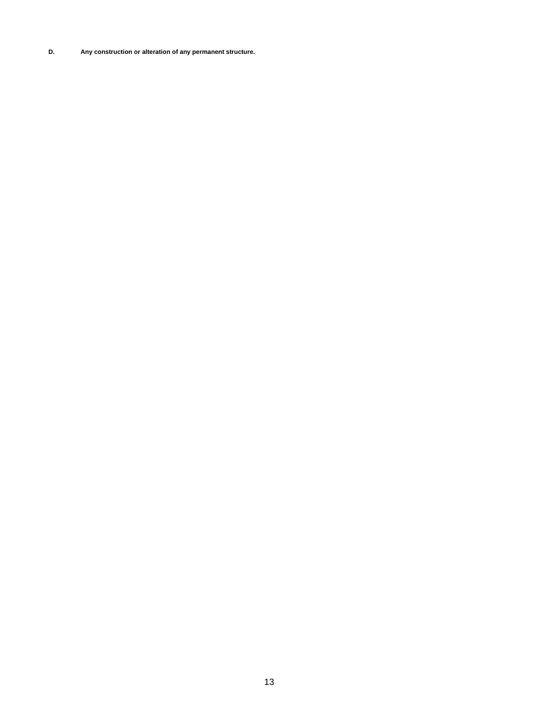**D. Any construction or alteration of any permanent structure.**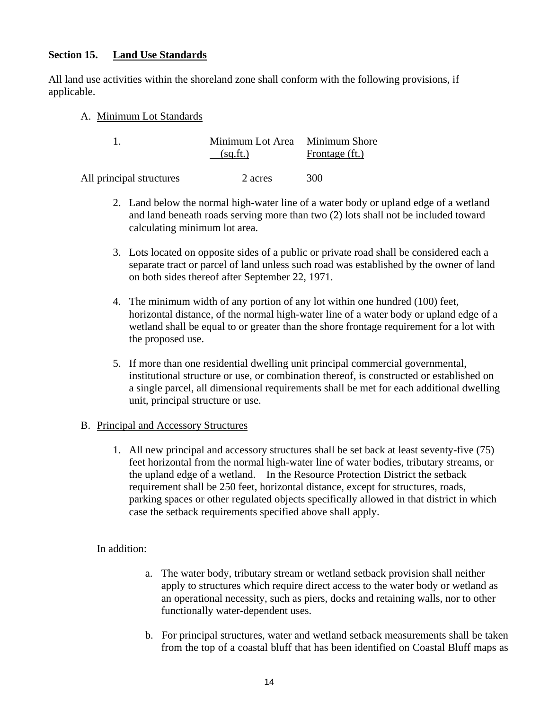# **Section 15. Land Use Standards**

All land use activities within the shoreland zone shall conform with the following provisions, if applicable.

A. Minimum Lot Standards

|                          | Minimum Lot Area Minimum Shore<br>(sq.fit.) | Frontage (ft.) |
|--------------------------|---------------------------------------------|----------------|
| All principal structures | 2 acres                                     | 300            |

- 2. Land below the normal high-water line of a water body or upland edge of a wetland and land beneath roads serving more than two (2) lots shall not be included toward calculating minimum lot area.
- 3. Lots located on opposite sides of a public or private road shall be considered each a separate tract or parcel of land unless such road was established by the owner of land on both sides thereof after September 22, 1971.
- 4. The minimum width of any portion of any lot within one hundred (100) feet, horizontal distance, of the normal high-water line of a water body or upland edge of a wetland shall be equal to or greater than the shore frontage requirement for a lot with the proposed use.
- 5. If more than one residential dwelling unit principal commercial governmental, institutional structure or use, or combination thereof, is constructed or established on a single parcel, all dimensional requirements shall be met for each additional dwelling unit, principal structure or use.

# B. Principal and Accessory Structures

 1. All new principal and accessory structures shall be set back at least seventy-five (75) feet horizontal from the normal high-water line of water bodies, tributary streams, or the upland edge of a wetland. In the Resource Protection District the setback requirement shall be 250 feet, horizontal distance, except for structures, roads, parking spaces or other regulated objects specifically allowed in that district in which case the setback requirements specified above shall apply.

In addition:

- a. The water body, tributary stream or wetland setback provision shall neither apply to structures which require direct access to the water body or wetland as an operational necessity, such as piers, docks and retaining walls, nor to other functionally water-dependent uses.
- b. For principal structures, water and wetland setback measurements shall be taken from the top of a coastal bluff that has been identified on Coastal Bluff maps as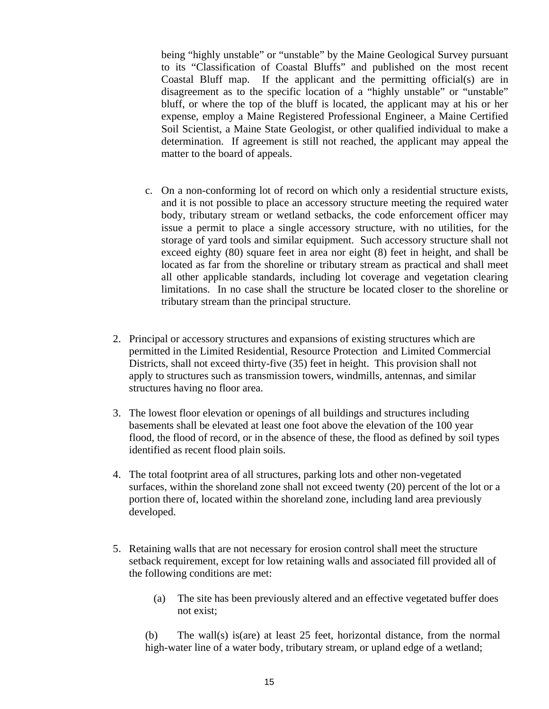being "highly unstable" or "unstable" by the Maine Geological Survey pursuant to its "Classification of Coastal Bluffs" and published on the most recent Coastal Bluff map. If the applicant and the permitting official(s) are in disagreement as to the specific location of a "highly unstable" or "unstable" bluff, or where the top of the bluff is located, the applicant may at his or her expense, employ a Maine Registered Professional Engineer, a Maine Certified Soil Scientist, a Maine State Geologist, or other qualified individual to make a determination. If agreement is still not reached, the applicant may appeal the matter to the board of appeals.

- c. On a non-conforming lot of record on which only a residential structure exists, and it is not possible to place an accessory structure meeting the required water body, tributary stream or wetland setbacks, the code enforcement officer may issue a permit to place a single accessory structure, with no utilities, for the storage of yard tools and similar equipment. Such accessory structure shall not exceed eighty (80) square feet in area nor eight (8) feet in height, and shall be located as far from the shoreline or tributary stream as practical and shall meet all other applicable standards, including lot coverage and vegetation clearing limitations. In no case shall the structure be located closer to the shoreline or tributary stream than the principal structure.
- 2. Principal or accessory structures and expansions of existing structures which are permitted in the Limited Residential, Resource Protection and Limited Commercial Districts, shall not exceed thirty-five (35) feet in height. This provision shall not apply to structures such as transmission towers, windmills, antennas, and similar structures having no floor area.
- 3. The lowest floor elevation or openings of all buildings and structures including basements shall be elevated at least one foot above the elevation of the 100 year flood, the flood of record, or in the absence of these, the flood as defined by soil types identified as recent flood plain soils.
- 4. The total footprint area of all structures, parking lots and other non-vegetated surfaces, within the shoreland zone shall not exceed twenty (20) percent of the lot or a portion there of, located within the shoreland zone, including land area previously developed.
- 5. Retaining walls that are not necessary for erosion control shall meet the structure setback requirement, except for low retaining walls and associated fill provided all of the following conditions are met:
	- (a) The site has been previously altered and an effective vegetated buffer does not exist;

 (b) The wall(s) is(are) at least 25 feet, horizontal distance, from the normal high-water line of a water body, tributary stream, or upland edge of a wetland;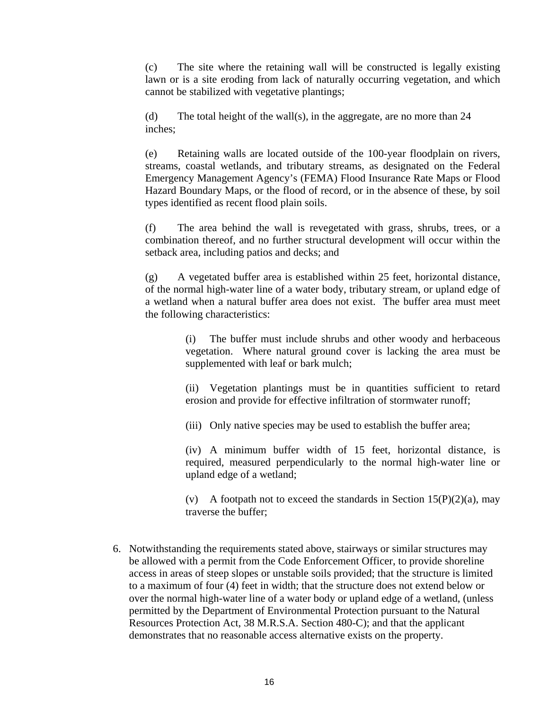(c) The site where the retaining wall will be constructed is legally existing lawn or is a site eroding from lack of naturally occurring vegetation, and which cannot be stabilized with vegetative plantings;

(d) The total height of the wall(s), in the aggregate, are no more than 24 inches;

(e) Retaining walls are located outside of the 100-year floodplain on rivers, streams, coastal wetlands, and tributary streams, as designated on the Federal Emergency Management Agency's (FEMA) Flood Insurance Rate Maps or Flood Hazard Boundary Maps, or the flood of record, or in the absence of these, by soil types identified as recent flood plain soils.

(f) The area behind the wall is revegetated with grass, shrubs, trees, or a combination thereof, and no further structural development will occur within the setback area, including patios and decks; and

(g) A vegetated buffer area is established within 25 feet, horizontal distance, of the normal high-water line of a water body, tributary stream, or upland edge of a wetland when a natural buffer area does not exist. The buffer area must meet the following characteristics:

> (i) The buffer must include shrubs and other woody and herbaceous vegetation. Where natural ground cover is lacking the area must be supplemented with leaf or bark mulch;

> (ii) Vegetation plantings must be in quantities sufficient to retard erosion and provide for effective infiltration of stormwater runoff;

(iii) Only native species may be used to establish the buffer area;

(iv) A minimum buffer width of 15 feet, horizontal distance, is required, measured perpendicularly to the normal high-water line or upland edge of a wetland;

(v) A footpath not to exceed the standards in Section  $15(P)(2)(a)$ , may traverse the buffer;

 6. Notwithstanding the requirements stated above, stairways or similar structures may be allowed with a permit from the Code Enforcement Officer, to provide shoreline access in areas of steep slopes or unstable soils provided; that the structure is limited to a maximum of four (4) feet in width; that the structure does not extend below or over the normal high-water line of a water body or upland edge of a wetland, (unless permitted by the Department of Environmental Protection pursuant to the Natural Resources Protection Act, 38 M.R.S.A. Section 480-C); and that the applicant demonstrates that no reasonable access alternative exists on the property.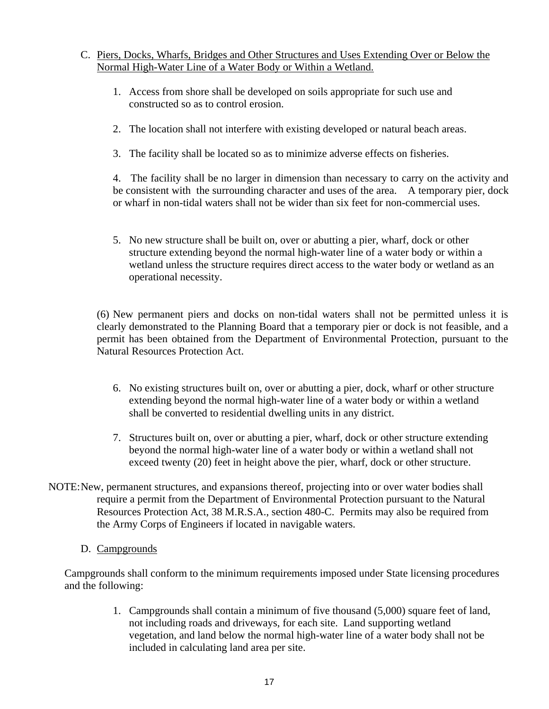# C. Piers, Docks, Wharfs, Bridges and Other Structures and Uses Extending Over or Below the Normal High-Water Line of a Water Body or Within a Wetland.

- 1. Access from shore shall be developed on soils appropriate for such use and constructed so as to control erosion.
- 2. The location shall not interfere with existing developed or natural beach areas.
- 3. The facility shall be located so as to minimize adverse effects on fisheries.

 4. The facility shall be no larger in dimension than necessary to carry on the activity and be consistent with the surrounding character and uses of the area. A temporary pier, dock or wharf in non-tidal waters shall not be wider than six feet for non-commercial uses.

 5. No new structure shall be built on, over or abutting a pier, wharf, dock or other structure extending beyond the normal high-water line of a water body or within a wetland unless the structure requires direct access to the water body or wetland as an operational necessity.

(6) New permanent piers and docks on non-tidal waters shall not be permitted unless it is clearly demonstrated to the Planning Board that a temporary pier or dock is not feasible, and a permit has been obtained from the Department of Environmental Protection, pursuant to the Natural Resources Protection Act.

- 6. No existing structures built on, over or abutting a pier, dock, wharf or other structure extending beyond the normal high-water line of a water body or within a wetland shall be converted to residential dwelling units in any district.
- 7. Structures built on, over or abutting a pier, wharf, dock or other structure extending beyond the normal high-water line of a water body or within a wetland shall not exceed twenty (20) feet in height above the pier, wharf, dock or other structure.
- NOTE: New, permanent structures, and expansions thereof, projecting into or over water bodies shall require a permit from the Department of Environmental Protection pursuant to the Natural Resources Protection Act, 38 M.R.S.A., section 480-C. Permits may also be required from the Army Corps of Engineers if located in navigable waters.
	- D. Campgrounds

Campgrounds shall conform to the minimum requirements imposed under State licensing procedures and the following:

> 1. Campgrounds shall contain a minimum of five thousand (5,000) square feet of land, not including roads and driveways, for each site. Land supporting wetland vegetation, and land below the normal high-water line of a water body shall not be included in calculating land area per site.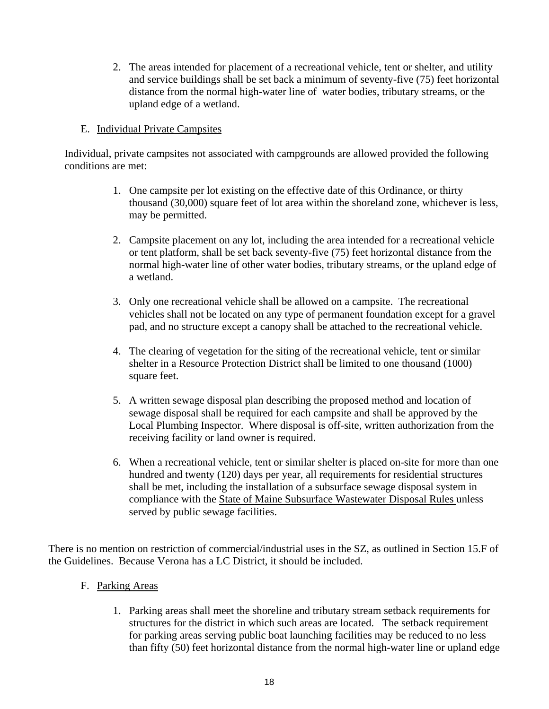2. The areas intended for placement of a recreational vehicle, tent or shelter, and utility and service buildings shall be set back a minimum of seventy-five (75) feet horizontal distance from the normal high-water line of water bodies, tributary streams, or the upland edge of a wetland.

# E. Individual Private Campsites

Individual, private campsites not associated with campgrounds are allowed provided the following conditions are met:

- 1. One campsite per lot existing on the effective date of this Ordinance, or thirty thousand (30,000) square feet of lot area within the shoreland zone, whichever is less, may be permitted.
- 2. Campsite placement on any lot, including the area intended for a recreational vehicle or tent platform, shall be set back seventy-five (75) feet horizontal distance from the normal high-water line of other water bodies, tributary streams, or the upland edge of a wetland.
- 3. Only one recreational vehicle shall be allowed on a campsite. The recreational vehicles shall not be located on any type of permanent foundation except for a gravel pad, and no structure except a canopy shall be attached to the recreational vehicle.
- 4. The clearing of vegetation for the siting of the recreational vehicle, tent or similar shelter in a Resource Protection District shall be limited to one thousand (1000) square feet.
- 5. A written sewage disposal plan describing the proposed method and location of sewage disposal shall be required for each campsite and shall be approved by the Local Plumbing Inspector. Where disposal is off-site, written authorization from the receiving facility or land owner is required.
- 6. When a recreational vehicle, tent or similar shelter is placed on-site for more than one hundred and twenty (120) days per year, all requirements for residential structures shall be met, including the installation of a subsurface sewage disposal system in compliance with the State of Maine Subsurface Wastewater Disposal Rules unless served by public sewage facilities.

There is no mention on restriction of commercial/industrial uses in the SZ, as outlined in Section 15.F of the Guidelines. Because Verona has a LC District, it should be included.

# F. Parking Areas

 1. Parking areas shall meet the shoreline and tributary stream setback requirements for structures for the district in which such areas are located. The setback requirement for parking areas serving public boat launching facilities may be reduced to no less than fifty (50) feet horizontal distance from the normal high-water line or upland edge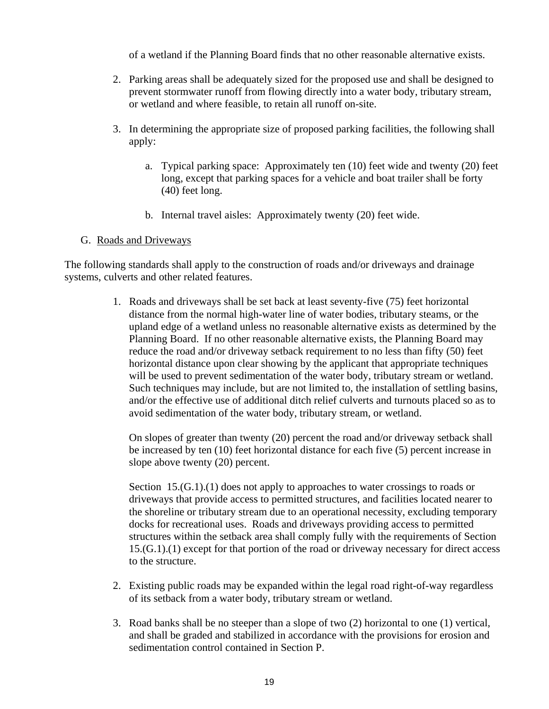of a wetland if the Planning Board finds that no other reasonable alternative exists.

- 2. Parking areas shall be adequately sized for the proposed use and shall be designed to prevent stormwater runoff from flowing directly into a water body, tributary stream, or wetland and where feasible, to retain all runoff on-site.
- 3. In determining the appropriate size of proposed parking facilities, the following shall apply:
	- a. Typical parking space: Approximately ten (10) feet wide and twenty (20) feet long, except that parking spaces for a vehicle and boat trailer shall be forty (40) feet long.
	- b. Internal travel aisles: Approximately twenty (20) feet wide.

# G. Roads and Driveways

The following standards shall apply to the construction of roads and/or driveways and drainage systems, culverts and other related features.

> 1. Roads and driveways shall be set back at least seventy-five (75) feet horizontal distance from the normal high-water line of water bodies, tributary steams, or the upland edge of a wetland unless no reasonable alternative exists as determined by the Planning Board. If no other reasonable alternative exists, the Planning Board may reduce the road and/or driveway setback requirement to no less than fifty (50) feet horizontal distance upon clear showing by the applicant that appropriate techniques will be used to prevent sedimentation of the water body, tributary stream or wetland. Such techniques may include, but are not limited to, the installation of settling basins, and/or the effective use of additional ditch relief culverts and turnouts placed so as to avoid sedimentation of the water body, tributary stream, or wetland.

 On slopes of greater than twenty (20) percent the road and/or driveway setback shall be increased by ten (10) feet horizontal distance for each five (5) percent increase in slope above twenty (20) percent.

Section 15.(G.1).(1) does not apply to approaches to water crossings to roads or driveways that provide access to permitted structures, and facilities located nearer to the shoreline or tributary stream due to an operational necessity, excluding temporary docks for recreational uses. Roads and driveways providing access to permitted structures within the setback area shall comply fully with the requirements of Section 15.(G.1).(1) except for that portion of the road or driveway necessary for direct access to the structure.

- 2. Existing public roads may be expanded within the legal road right-of-way regardless of its setback from a water body, tributary stream or wetland.
- 3. Road banks shall be no steeper than a slope of two (2) horizontal to one (1) vertical, and shall be graded and stabilized in accordance with the provisions for erosion and sedimentation control contained in Section P.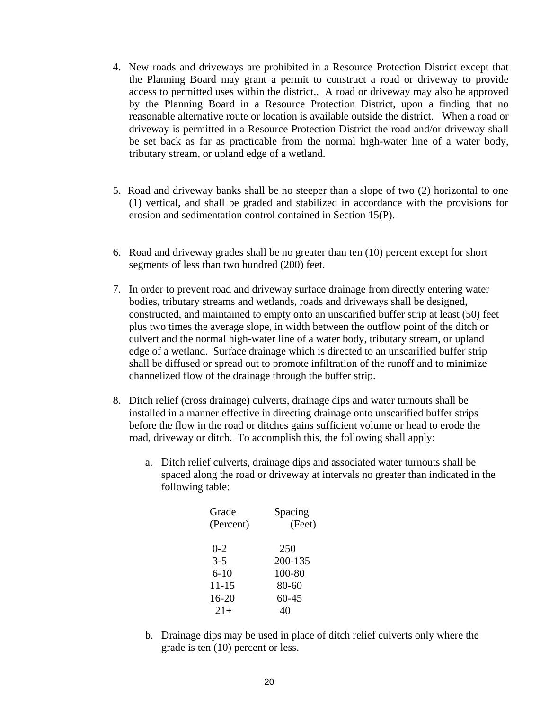- 4. New roads and driveways are prohibited in a Resource Protection District except that the Planning Board may grant a permit to construct a road or driveway to provide access to permitted uses within the district., A road or driveway may also be approved by the Planning Board in a Resource Protection District, upon a finding that no reasonable alternative route or location is available outside the district. When a road or driveway is permitted in a Resource Protection District the road and/or driveway shall be set back as far as practicable from the normal high-water line of a water body, tributary stream, or upland edge of a wetland.
- 5. Road and driveway banks shall be no steeper than a slope of two (2) horizontal to one (1) vertical, and shall be graded and stabilized in accordance with the provisions for erosion and sedimentation control contained in Section 15(P).
- 6. Road and driveway grades shall be no greater than ten (10) percent except for short segments of less than two hundred (200) feet.
- 7. In order to prevent road and driveway surface drainage from directly entering water bodies, tributary streams and wetlands, roads and driveways shall be designed, constructed, and maintained to empty onto an unscarified buffer strip at least (50) feet plus two times the average slope, in width between the outflow point of the ditch or culvert and the normal high-water line of a water body, tributary stream, or upland edge of a wetland. Surface drainage which is directed to an unscarified buffer strip shall be diffused or spread out to promote infiltration of the runoff and to minimize channelized flow of the drainage through the buffer strip.
- 8. Ditch relief (cross drainage) culverts, drainage dips and water turnouts shall be installed in a manner effective in directing drainage onto unscarified buffer strips before the flow in the road or ditches gains sufficient volume or head to erode the road, driveway or ditch. To accomplish this, the following shall apply:
	- a. Ditch relief culverts, drainage dips and associated water turnouts shall be spaced along the road or driveway at intervals no greater than indicated in the following table:

| Grade<br>(Percent) | Spacing<br>(Feet) |
|--------------------|-------------------|
| $0 - 2$            | 250               |
| $3 - 5$            | 200-135           |
| $6 - 10$           | 100-80            |
| $11 - 15$          | 80-60             |
| $16 - 20$          | $60 - 45$         |
| $21+$              | 40                |
|                    |                   |

 b. Drainage dips may be used in place of ditch relief culverts only where the grade is ten (10) percent or less.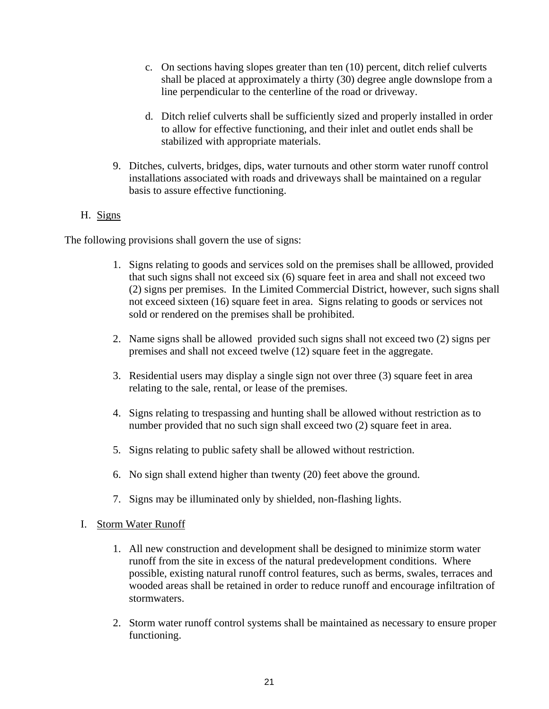- c. On sections having slopes greater than ten (10) percent, ditch relief culverts shall be placed at approximately a thirty (30) degree angle downslope from a line perpendicular to the centerline of the road or driveway.
- d. Ditch relief culverts shall be sufficiently sized and properly installed in order to allow for effective functioning, and their inlet and outlet ends shall be stabilized with appropriate materials.
- 9. Ditches, culverts, bridges, dips, water turnouts and other storm water runoff control installations associated with roads and driveways shall be maintained on a regular basis to assure effective functioning.
- H. Signs

The following provisions shall govern the use of signs:

- 1. Signs relating to goods and services sold on the premises shall be alllowed, provided that such signs shall not exceed six (6) square feet in area and shall not exceed two (2) signs per premises. In the Limited Commercial District, however, such signs shall not exceed sixteen (16) square feet in area. Signs relating to goods or services not sold or rendered on the premises shall be prohibited.
- 2. Name signs shall be allowed provided such signs shall not exceed two (2) signs per premises and shall not exceed twelve (12) square feet in the aggregate.
- 3. Residential users may display a single sign not over three (3) square feet in area relating to the sale, rental, or lease of the premises.
- 4. Signs relating to trespassing and hunting shall be allowed without restriction as to number provided that no such sign shall exceed two (2) square feet in area.
- 5. Signs relating to public safety shall be allowed without restriction.
- 6. No sign shall extend higher than twenty (20) feet above the ground.
- 7. Signs may be illuminated only by shielded, non-flashing lights.
- I. Storm Water Runoff
	- 1. All new construction and development shall be designed to minimize storm water runoff from the site in excess of the natural predevelopment conditions. Where possible, existing natural runoff control features, such as berms, swales, terraces and wooded areas shall be retained in order to reduce runoff and encourage infiltration of stormwaters.
	- 2. Storm water runoff control systems shall be maintained as necessary to ensure proper functioning.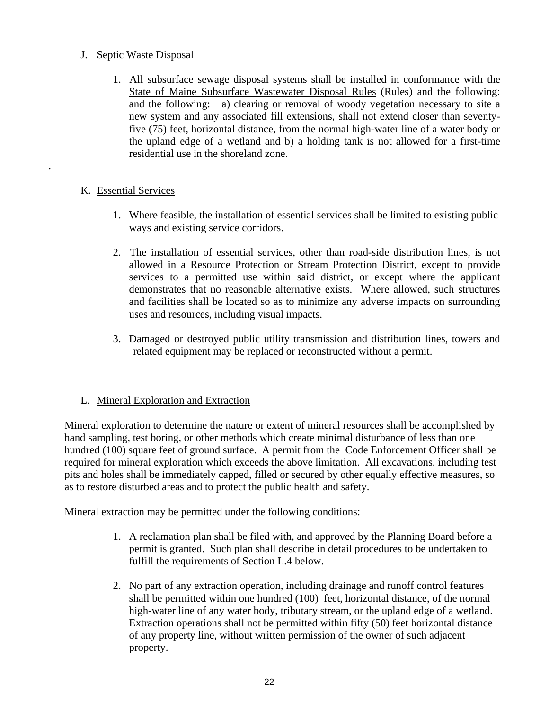# J. Septic Waste Disposal

1. All subsurface sewage disposal systems shall be installed in conformance with the State of Maine Subsurface Wastewater Disposal Rules (Rules) and the following: and the following: a) clearing or removal of woody vegetation necessary to site a new system and any associated fill extensions, shall not extend closer than seventyfive (75) feet, horizontal distance, from the normal high-water line of a water body or the upland edge of a wetland and b) a holding tank is not allowed for a first-time residential use in the shoreland zone.

# K. Essential Services

.

- 1. Where feasible, the installation of essential services shall be limited to existing public ways and existing service corridors.
- 2. The installation of essential services, other than road-side distribution lines, is not allowed in a Resource Protection or Stream Protection District, except to provide services to a permitted use within said district, or except where the applicant demonstrates that no reasonable alternative exists. Where allowed, such structures and facilities shall be located so as to minimize any adverse impacts on surrounding uses and resources, including visual impacts.
- 3. Damaged or destroyed public utility transmission and distribution lines, towers and related equipment may be replaced or reconstructed without a permit.

# L. Mineral Exploration and Extraction

Mineral exploration to determine the nature or extent of mineral resources shall be accomplished by hand sampling, test boring, or other methods which create minimal disturbance of less than one hundred (100) square feet of ground surface. A permit from the Code Enforcement Officer shall be required for mineral exploration which exceeds the above limitation. All excavations, including test pits and holes shall be immediately capped, filled or secured by other equally effective measures, so as to restore disturbed areas and to protect the public health and safety.

Mineral extraction may be permitted under the following conditions:

- 1. A reclamation plan shall be filed with, and approved by the Planning Board before a permit is granted. Such plan shall describe in detail procedures to be undertaken to fulfill the requirements of Section L.4 below.
- 2. No part of any extraction operation, including drainage and runoff control features shall be permitted within one hundred (100) feet, horizontal distance, of the normal high-water line of any water body, tributary stream, or the upland edge of a wetland. Extraction operations shall not be permitted within fifty (50) feet horizontal distance of any property line, without written permission of the owner of such adjacent property.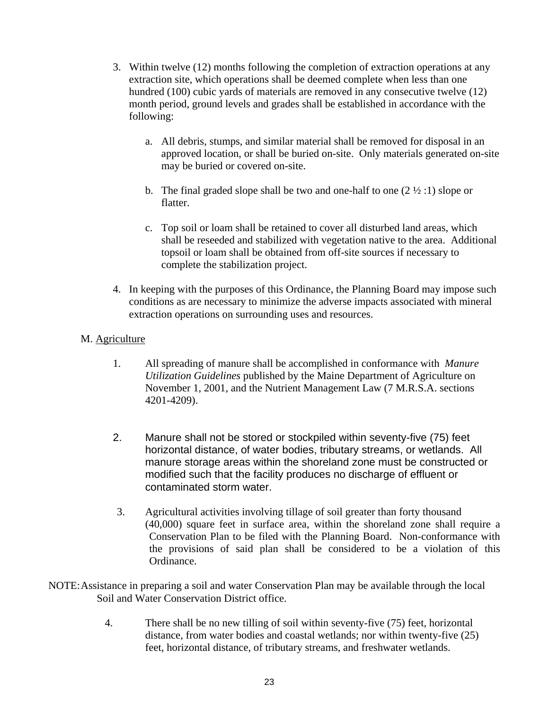- 3. Within twelve (12) months following the completion of extraction operations at any extraction site, which operations shall be deemed complete when less than one hundred (100) cubic yards of materials are removed in any consecutive twelve (12) month period, ground levels and grades shall be established in accordance with the following:
	- a. All debris, stumps, and similar material shall be removed for disposal in an approved location, or shall be buried on-site. Only materials generated on-site may be buried or covered on-site.
	- b. The final graded slope shall be two and one-half to one  $(2 \frac{1}{2} \cdot 1)$  slope or flatter.
	- c. Top soil or loam shall be retained to cover all disturbed land areas, which shall be reseeded and stabilized with vegetation native to the area. Additional topsoil or loam shall be obtained from off-site sources if necessary to complete the stabilization project.
- 4. In keeping with the purposes of this Ordinance, the Planning Board may impose such conditions as are necessary to minimize the adverse impacts associated with mineral extraction operations on surrounding uses and resources.

# M. Agriculture

- 1. All spreading of manure shall be accomplished in conformance with *Manure Utilization Guidelines* published by the Maine Department of Agriculture on November 1, 2001, and the Nutrient Management Law (7 M.R.S.A. sections 4201-4209).
- 2. Manure shall not be stored or stockpiled within seventy-five (75) feet horizontal distance, of water bodies, tributary streams, or wetlands. All manure storage areas within the shoreland zone must be constructed or modified such that the facility produces no discharge of effluent or contaminated storm water.
- 3. Agricultural activities involving tillage of soil greater than forty thousand (40,000) square feet in surface area, within the shoreland zone shall require a Conservation Plan to be filed with the Planning Board. Non-conformance with the provisions of said plan shall be considered to be a violation of this Ordinance.
- NOTE: Assistance in preparing a soil and water Conservation Plan may be available through the local Soil and Water Conservation District office.
	- 4. There shall be no new tilling of soil within seventy-five (75) feet, horizontal distance, from water bodies and coastal wetlands; nor within twenty-five (25) feet, horizontal distance, of tributary streams, and freshwater wetlands.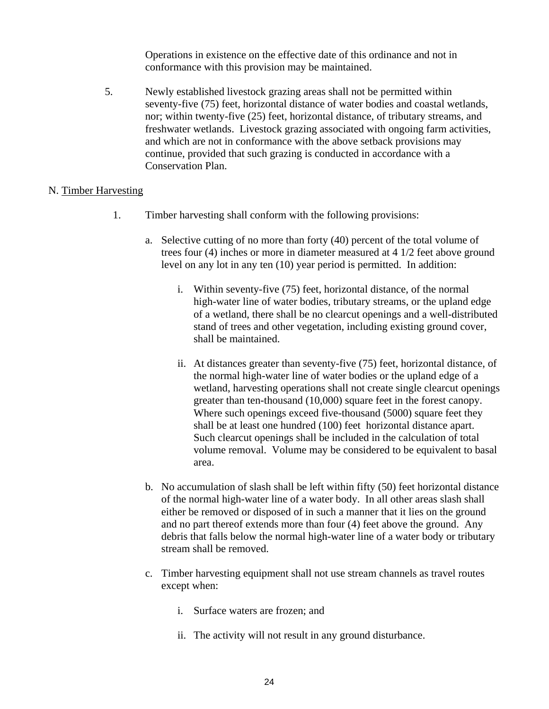Operations in existence on the effective date of this ordinance and not in conformance with this provision may be maintained.

 5. Newly established livestock grazing areas shall not be permitted within seventy-five (75) feet, horizontal distance of water bodies and coastal wetlands, nor; within twenty-five (25) feet, horizontal distance, of tributary streams, and freshwater wetlands. Livestock grazing associated with ongoing farm activities, and which are not in conformance with the above setback provisions may continue, provided that such grazing is conducted in accordance with a Conservation Plan.

# N. Timber Harvesting

- 1. Timber harvesting shall conform with the following provisions:
	- a. Selective cutting of no more than forty (40) percent of the total volume of trees four (4) inches or more in diameter measured at 4 1/2 feet above ground level on any lot in any ten (10) year period is permitted. In addition:
		- i. Within seventy-five (75) feet, horizontal distance, of the normal high-water line of water bodies, tributary streams, or the upland edge of a wetland, there shall be no clearcut openings and a well-distributed stand of trees and other vegetation, including existing ground cover, shall be maintained.
		- ii. At distances greater than seventy-five (75) feet, horizontal distance, of the normal high-water line of water bodies or the upland edge of a wetland, harvesting operations shall not create single clearcut openings greater than ten-thousand (10,000) square feet in the forest canopy. Where such openings exceed five-thousand (5000) square feet they shall be at least one hundred (100) feet horizontal distance apart. Such clearcut openings shall be included in the calculation of total volume removal. Volume may be considered to be equivalent to basal area.
	- b. No accumulation of slash shall be left within fifty (50) feet horizontal distance of the normal high-water line of a water body. In all other areas slash shall either be removed or disposed of in such a manner that it lies on the ground and no part thereof extends more than four (4) feet above the ground. Any debris that falls below the normal high-water line of a water body or tributary stream shall be removed.
	- c. Timber harvesting equipment shall not use stream channels as travel routes except when:
		- i. Surface waters are frozen; and
		- ii. The activity will not result in any ground disturbance.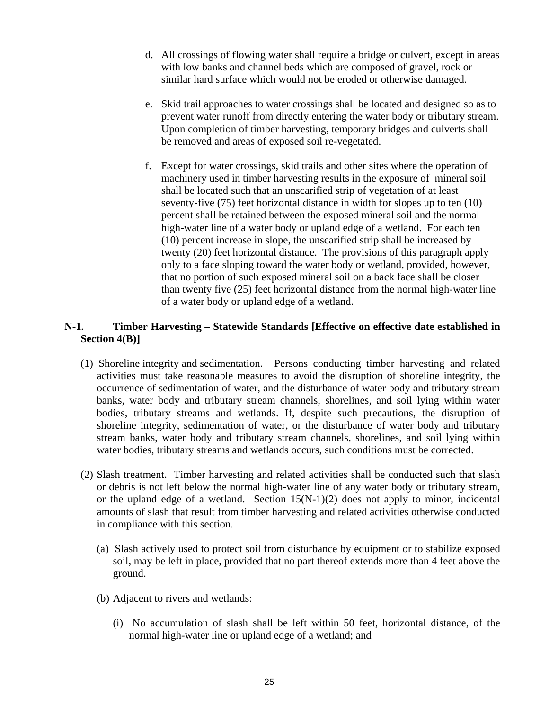- d. All crossings of flowing water shall require a bridge or culvert, except in areas with low banks and channel beds which are composed of gravel, rock or similar hard surface which would not be eroded or otherwise damaged.
- e. Skid trail approaches to water crossings shall be located and designed so as to prevent water runoff from directly entering the water body or tributary stream. Upon completion of timber harvesting, temporary bridges and culverts shall be removed and areas of exposed soil re-vegetated.
- f. Except for water crossings, skid trails and other sites where the operation of machinery used in timber harvesting results in the exposure of mineral soil shall be located such that an unscarified strip of vegetation of at least seventy-five (75) feet horizontal distance in width for slopes up to ten (10) percent shall be retained between the exposed mineral soil and the normal high-water line of a water body or upland edge of a wetland. For each ten (10) percent increase in slope, the unscarified strip shall be increased by twenty (20) feet horizontal distance. The provisions of this paragraph apply only to a face sloping toward the water body or wetland, provided, however, that no portion of such exposed mineral soil on a back face shall be closer than twenty five (25) feet horizontal distance from the normal high-water line of a water body or upland edge of a wetland.

# **N-1. Timber Harvesting – Statewide Standards [Effective on effective date established in Section 4(B)]**

- (1) Shoreline integrity and sedimentation. Persons conducting timber harvesting and related activities must take reasonable measures to avoid the disruption of shoreline integrity, the occurrence of sedimentation of water, and the disturbance of water body and tributary stream banks, water body and tributary stream channels, shorelines, and soil lying within water bodies, tributary streams and wetlands. If, despite such precautions, the disruption of shoreline integrity, sedimentation of water, or the disturbance of water body and tributary stream banks, water body and tributary stream channels, shorelines, and soil lying within water bodies, tributary streams and wetlands occurs, such conditions must be corrected.
- (2) Slash treatment. Timber harvesting and related activities shall be conducted such that slash or debris is not left below the normal high-water line of any water body or tributary stream, or the upland edge of a wetland. Section  $15(N-1)(2)$  does not apply to minor, incidental amounts of slash that result from timber harvesting and related activities otherwise conducted in compliance with this section.
	- (a)Slash actively used to protect soil from disturbance by equipment or to stabilize exposed soil, may be left in place, provided that no part thereof extends more than 4 feet above the ground.
	- (b) Adjacent to rivers and wetlands:
		- (i) No accumulation of slash shall be left within 50 feet, horizontal distance, of the normal high-water line or upland edge of a wetland; and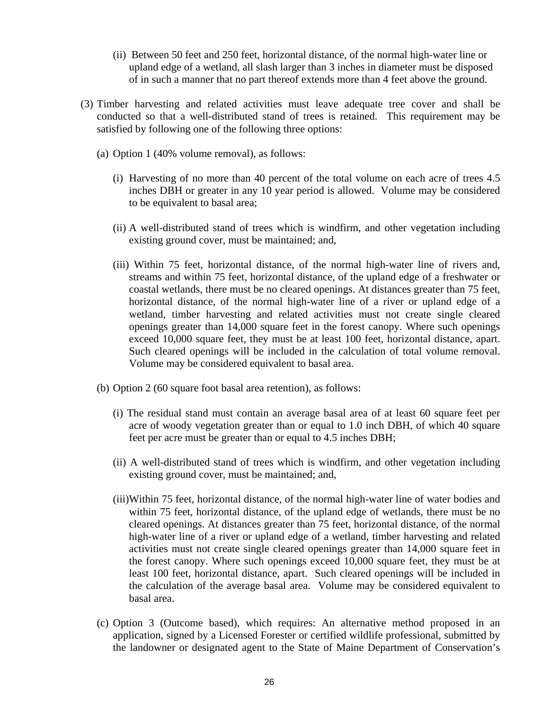- (ii) Between 50 feet and 250 feet, horizontal distance, of the normal high-water line or upland edge of a wetland, all slash larger than 3 inches in diameter must be disposed of in such a manner that no part thereof extends more than 4 feet above the ground.
- (3) Timber harvesting and related activities must leave adequate tree cover and shall be conducted so that a well-distributed stand of trees is retained. This requirement may be satisfied by following one of the following three options:
	- (a) Option 1 (40% volume removal), as follows:
		- (i) Harvesting of no more than 40 percent of the total volume on each acre of trees 4.5 inches DBH or greater in any 10 year period is allowed. Volume may be considered to be equivalent to basal area;
		- (ii) A well-distributed stand of trees which is windfirm, and other vegetation including existing ground cover, must be maintained; and,
		- (iii) Within 75 feet, horizontal distance, of the normal high-water line of rivers and, streams and within 75 feet, horizontal distance, of the upland edge of a freshwater or coastal wetlands, there must be no cleared openings. At distances greater than 75 feet, horizontal distance, of the normal high-water line of a river or upland edge of a wetland, timber harvesting and related activities must not create single cleared openings greater than 14,000 square feet in the forest canopy. Where such openings exceed 10,000 square feet, they must be at least 100 feet, horizontal distance, apart. Such cleared openings will be included in the calculation of total volume removal. Volume may be considered equivalent to basal area.
	- (b) Option 2 (60 square foot basal area retention), as follows:
		- (i) The residual stand must contain an average basal area of at least 60 square feet per acre of woody vegetation greater than or equal to 1.0 inch DBH, of which 40 square feet per acre must be greater than or equal to 4.5 inches DBH;
		- (ii) A well-distributed stand of trees which is windfirm, and other vegetation including existing ground cover, must be maintained; and,
		- (iii)Within 75 feet, horizontal distance, of the normal high-water line of water bodies and within 75 feet, horizontal distance, of the upland edge of wetlands, there must be no cleared openings. At distances greater than 75 feet, horizontal distance, of the normal high-water line of a river or upland edge of a wetland, timber harvesting and related activities must not create single cleared openings greater than 14,000 square feet in the forest canopy. Where such openings exceed 10,000 square feet, they must be at least 100 feet, horizontal distance, apart. Such cleared openings will be included in the calculation of the average basal area. Volume may be considered equivalent to basal area.
	- (c) Option 3 (Outcome based), which requires: An alternative method proposed in an application, signed by a Licensed Forester or certified wildlife professional, submitted by the landowner or designated agent to the State of Maine Department of Conservation's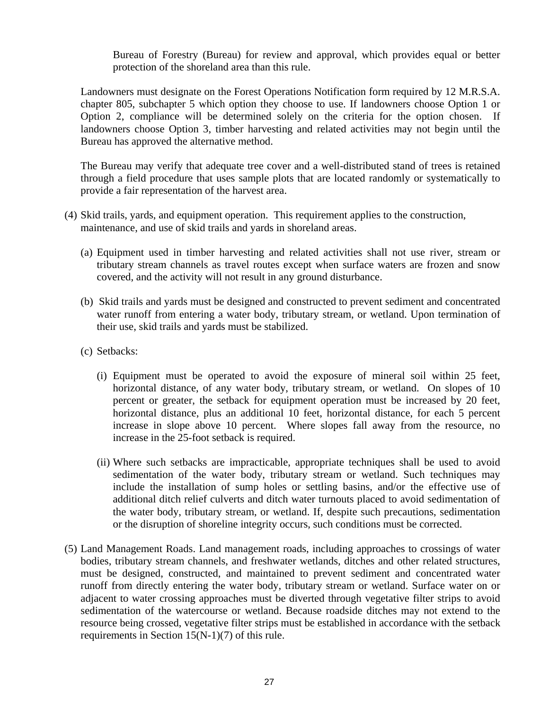Bureau of Forestry (Bureau) for review and approval, which provides equal or better protection of the shoreland area than this rule.

Landowners must designate on the Forest Operations Notification form required by 12 M.R.S.A. chapter 805, subchapter 5 which option they choose to use. If landowners choose Option 1 or Option 2, compliance will be determined solely on the criteria for the option chosen. If landowners choose Option 3, timber harvesting and related activities may not begin until the Bureau has approved the alternative method.

The Bureau may verify that adequate tree cover and a well-distributed stand of trees is retained through a field procedure that uses sample plots that are located randomly or systematically to provide a fair representation of the harvest area.

- (4) Skid trails, yards, and equipment operation. This requirement applies to the construction, maintenance, and use of skid trails and yards in shoreland areas.
	- (a)Equipment used in timber harvesting and related activities shall not use river, stream or tributary stream channels as travel routes except when surface waters are frozen and snow covered, and the activity will not result in any ground disturbance.
	- (b)Skid trails and yards must be designed and constructed to prevent sediment and concentrated water runoff from entering a water body, tributary stream, or wetland. Upon termination of their use, skid trails and yards must be stabilized.
	- (c) Setbacks:
		- (i) Equipment must be operated to avoid the exposure of mineral soil within 25 feet, horizontal distance, of any water body, tributary stream, or wetland. On slopes of 10 percent or greater, the setback for equipment operation must be increased by 20 feet, horizontal distance, plus an additional 10 feet, horizontal distance, for each 5 percent increase in slope above 10 percent. Where slopes fall away from the resource, no increase in the 25-foot setback is required.
		- (ii) Where such setbacks are impracticable, appropriate techniques shall be used to avoid sedimentation of the water body, tributary stream or wetland. Such techniques may include the installation of sump holes or settling basins, and/or the effective use of additional ditch relief culverts and ditch water turnouts placed to avoid sedimentation of the water body, tributary stream, or wetland. If, despite such precautions, sedimentation or the disruption of shoreline integrity occurs, such conditions must be corrected.
- (5) Land Management Roads. Land management roads, including approaches to crossings of water bodies, tributary stream channels, and freshwater wetlands, ditches and other related structures, must be designed, constructed, and maintained to prevent sediment and concentrated water runoff from directly entering the water body, tributary stream or wetland. Surface water on or adjacent to water crossing approaches must be diverted through vegetative filter strips to avoid sedimentation of the watercourse or wetland. Because roadside ditches may not extend to the resource being crossed, vegetative filter strips must be established in accordance with the setback requirements in Section 15(N-1)(7) of this rule.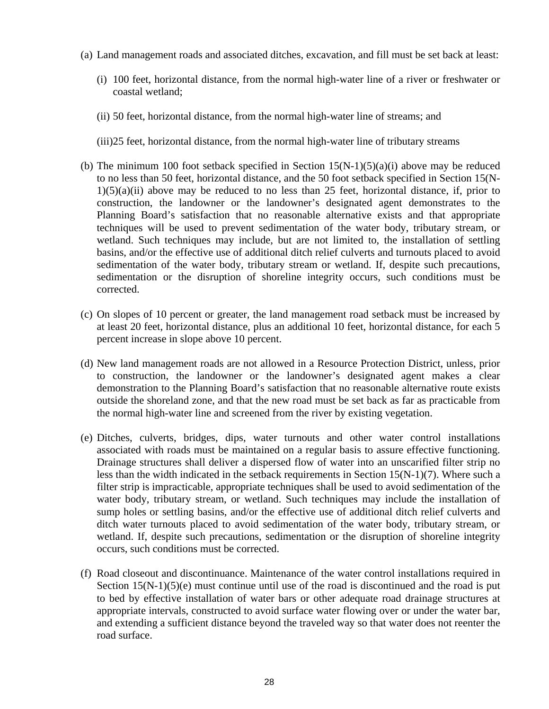- (a) Land management roads and associated ditches, excavation, and fill must be set back at least:
	- (i) 100 feet, horizontal distance, from the normal high-water line of a river or freshwater or coastal wetland;
	- (ii) 50 feet, horizontal distance, from the normal high-water line of streams; and
	- (iii)25 feet, horizontal distance, from the normal high-water line of tributary streams
- (b) The minimum 100 foot setback specified in Section  $15(N-1)(5)(a)(i)$  above may be reduced to no less than 50 feet, horizontal distance, and the 50 foot setback specified in Section 15(N- $1(5)(a)(ii)$  above may be reduced to no less than 25 feet, horizontal distance, if, prior to construction, the landowner or the landowner's designated agent demonstrates to the Planning Board's satisfaction that no reasonable alternative exists and that appropriate techniques will be used to prevent sedimentation of the water body, tributary stream, or wetland. Such techniques may include, but are not limited to, the installation of settling basins, and/or the effective use of additional ditch relief culverts and turnouts placed to avoid sedimentation of the water body, tributary stream or wetland. If, despite such precautions, sedimentation or the disruption of shoreline integrity occurs, such conditions must be corrected.
- (c) On slopes of 10 percent or greater, the land management road setback must be increased by at least 20 feet, horizontal distance, plus an additional 10 feet, horizontal distance, for each 5 percent increase in slope above 10 percent.
- (d) New land management roads are not allowed in a Resource Protection District, unless, prior to construction, the landowner or the landowner's designated agent makes a clear demonstration to the Planning Board's satisfaction that no reasonable alternative route exists outside the shoreland zone, and that the new road must be set back as far as practicable from the normal high-water line and screened from the river by existing vegetation.
- (e)Ditches, culverts, bridges, dips, water turnouts and other water control installations associated with roads must be maintained on a regular basis to assure effective functioning. Drainage structures shall deliver a dispersed flow of water into an unscarified filter strip no less than the width indicated in the setback requirements in Section 15(N-1)(7). Where such a filter strip is impracticable, appropriate techniques shall be used to avoid sedimentation of the water body, tributary stream, or wetland. Such techniques may include the installation of sump holes or settling basins, and/or the effective use of additional ditch relief culverts and ditch water turnouts placed to avoid sedimentation of the water body, tributary stream, or wetland. If, despite such precautions, sedimentation or the disruption of shoreline integrity occurs, such conditions must be corrected.
- (f) Road closeout and discontinuance. Maintenance of the water control installations required in Section  $15(N-1)(5)(e)$  must continue until use of the road is discontinued and the road is put to bed by effective installation of water bars or other adequate road drainage structures at appropriate intervals, constructed to avoid surface water flowing over or under the water bar, and extending a sufficient distance beyond the traveled way so that water does not reenter the road surface.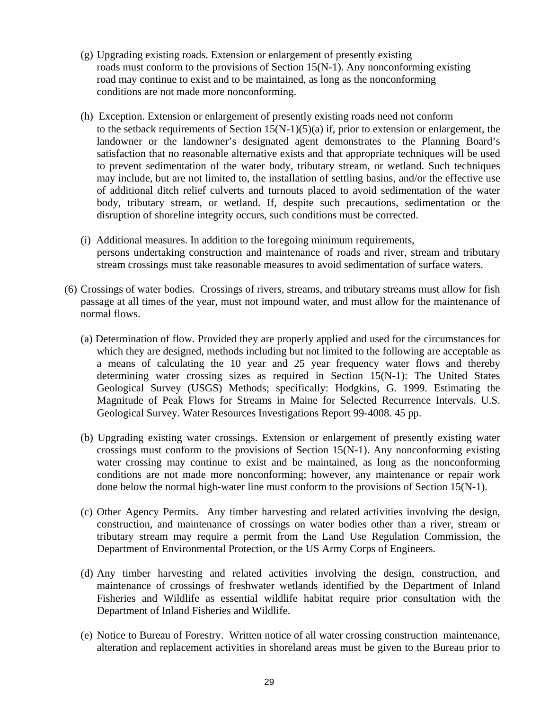- (g) Upgrading existing roads. Extension or enlargement of presently existing roads must conform to the provisions of Section 15(N-1). Any nonconforming existing road may continue to exist and to be maintained, as long as the nonconforming conditions are not made more nonconforming.
- (h) Exception. Extension or enlargement of presently existing roads need not conform to the setback requirements of Section  $15(N-1)(5)(a)$  if, prior to extension or enlargement, the landowner or the landowner's designated agent demonstrates to the Planning Board's satisfaction that no reasonable alternative exists and that appropriate techniques will be used to prevent sedimentation of the water body, tributary stream, or wetland. Such techniques may include, but are not limited to, the installation of settling basins, and/or the effective use of additional ditch relief culverts and turnouts placed to avoid sedimentation of the water body, tributary stream, or wetland. If, despite such precautions, sedimentation or the disruption of shoreline integrity occurs, such conditions must be corrected.
- (i) Additional measures. In addition to the foregoing minimum requirements, persons undertaking construction and maintenance of roads and river, stream and tributary stream crossings must take reasonable measures to avoid sedimentation of surface waters.
- (6) Crossings of water bodies. Crossings of rivers, streams, and tributary streams must allow for fish passage at all times of the year, must not impound water, and must allow for the maintenance of normal flows.
	- (a) Determination of flow. Provided they are properly applied and used for the circumstances for which they are designed, methods including but not limited to the following are acceptable as a means of calculating the 10 year and 25 year frequency water flows and thereby determining water crossing sizes as required in Section 15(N-1): The United States Geological Survey (USGS) Methods; specifically: Hodgkins, G. 1999. Estimating the Magnitude of Peak Flows for Streams in Maine for Selected Recurrence Intervals. U.S. Geological Survey. Water Resources Investigations Report 99-4008. 45 pp.
	- (b) Upgrading existing water crossings. Extension or enlargement of presently existing water crossings must conform to the provisions of Section 15(N-1). Any nonconforming existing water crossing may continue to exist and be maintained, as long as the nonconforming conditions are not made more nonconforming; however, any maintenance or repair work done below the normal high-water line must conform to the provisions of Section 15(N-1).
	- (c) Other Agency Permits. Any timber harvesting and related activities involving the design, construction, and maintenance of crossings on water bodies other than a river, stream or tributary stream may require a permit from the Land Use Regulation Commission, the Department of Environmental Protection, or the US Army Corps of Engineers.
	- (d) Any timber harvesting and related activities involving the design, construction, and maintenance of crossings of freshwater wetlands identified by the Department of Inland Fisheries and Wildlife as essential wildlife habitat require prior consultation with the Department of Inland Fisheries and Wildlife.
	- (e) Notice to Bureau of Forestry. Written notice of all water crossing construction maintenance, alteration and replacement activities in shoreland areas must be given to the Bureau prior to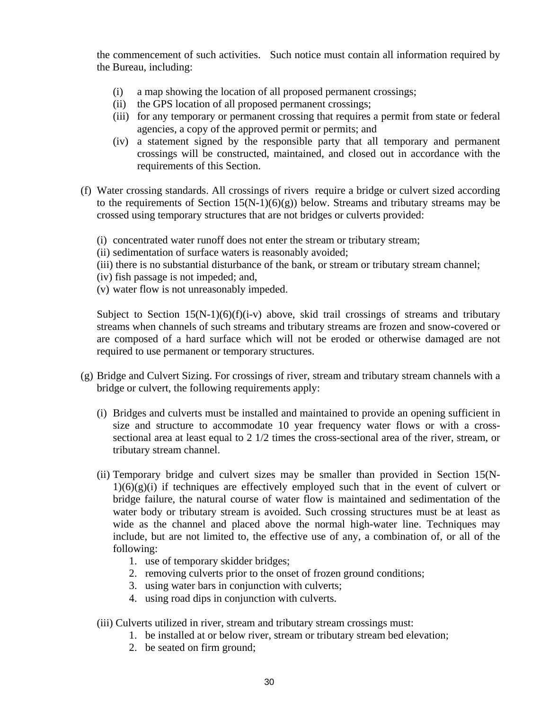the commencement of such activities. Such notice must contain all information required by the Bureau, including:

- (i) a map showing the location of all proposed permanent crossings;
- (ii) the GPS location of all proposed permanent crossings;
- (iii) for any temporary or permanent crossing that requires a permit from state or federal agencies, a copy of the approved permit or permits; and
- (iv) a statement signed by the responsible party that all temporary and permanent crossings will be constructed, maintained, and closed out in accordance with the requirements of this Section.
- (f) Water crossing standards. All crossings of rivers require a bridge or culvert sized according to the requirements of Section  $15(N-1)(6)(g)$  below. Streams and tributary streams may be crossed using temporary structures that are not bridges or culverts provided:
	- (i) concentrated water runoff does not enter the stream or tributary stream;
	- (ii) sedimentation of surface waters is reasonably avoided;
	- (iii) there is no substantial disturbance of the bank, or stream or tributary stream channel;
	- (iv) fish passage is not impeded; and,
	- (v) water flow is not unreasonably impeded.

Subject to Section  $15(N-1)(6)(f)(i-v)$  above, skid trail crossings of streams and tributary streams when channels of such streams and tributary streams are frozen and snow-covered or are composed of a hard surface which will not be eroded or otherwise damaged are not required to use permanent or temporary structures.

- (g) Bridge and Culvert Sizing. For crossings of river, stream and tributary stream channels with a bridge or culvert, the following requirements apply:
	- (i) Bridges and culverts must be installed and maintained to provide an opening sufficient in size and structure to accommodate 10 year frequency water flows or with a crosssectional area at least equal to 2 1/2 times the cross-sectional area of the river, stream, or tributary stream channel.
	- (ii) Temporary bridge and culvert sizes may be smaller than provided in Section 15(N- $1(6)(g)(i)$  if techniques are effectively employed such that in the event of culvert or bridge failure, the natural course of water flow is maintained and sedimentation of the water body or tributary stream is avoided. Such crossing structures must be at least as wide as the channel and placed above the normal high-water line. Techniques may include, but are not limited to, the effective use of any, a combination of, or all of the following:
		- 1. use of temporary skidder bridges;
		- 2. removing culverts prior to the onset of frozen ground conditions;
		- 3. using water bars in conjunction with culverts;
		- 4. using road dips in conjunction with culverts.
	- (iii) Culverts utilized in river, stream and tributary stream crossings must:
		- 1. be installed at or below river, stream or tributary stream bed elevation;
		- 2. be seated on firm ground;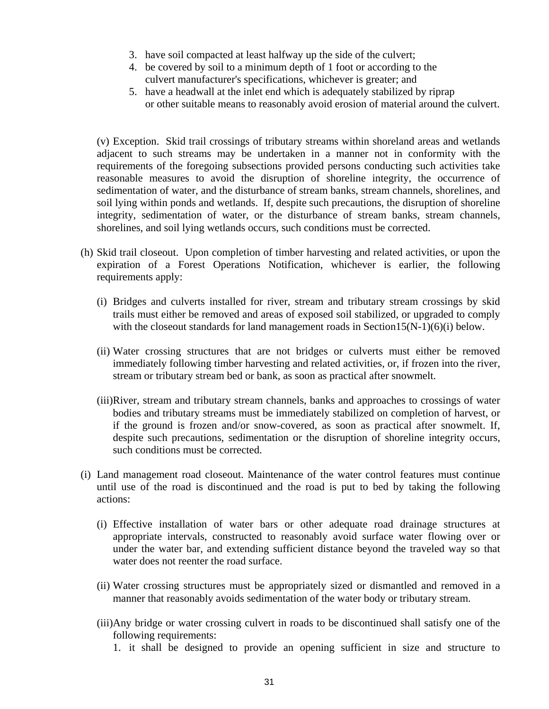- 3. have soil compacted at least halfway up the side of the culvert;
- 4. be covered by soil to a minimum depth of 1 foot or according to the culvert manufacturer's specifications, whichever is greater; and
- 5. have a headwall at the inlet end which is adequately stabilized by riprap or other suitable means to reasonably avoid erosion of material around the culvert.

(v) Exception. Skid trail crossings of tributary streams within shoreland areas and wetlands adjacent to such streams may be undertaken in a manner not in conformity with the requirements of the foregoing subsections provided persons conducting such activities take reasonable measures to avoid the disruption of shoreline integrity, the occurrence of sedimentation of water, and the disturbance of stream banks, stream channels, shorelines, and soil lying within ponds and wetlands. If, despite such precautions, the disruption of shoreline integrity, sedimentation of water, or the disturbance of stream banks, stream channels, shorelines, and soil lying wetlands occurs, such conditions must be corrected.

- (h) Skid trail closeout. Upon completion of timber harvesting and related activities, or upon the expiration of a Forest Operations Notification, whichever is earlier, the following requirements apply:
	- (i) Bridges and culverts installed for river, stream and tributary stream crossings by skid trails must either be removed and areas of exposed soil stabilized, or upgraded to comply with the closeout standards for land management roads in Section15( $N-1$ )( $6$ )(i) below.
	- (ii) Water crossing structures that are not bridges or culverts must either be removed immediately following timber harvesting and related activities, or, if frozen into the river, stream or tributary stream bed or bank, as soon as practical after snowmelt.
	- (iii)River, stream and tributary stream channels, banks and approaches to crossings of water bodies and tributary streams must be immediately stabilized on completion of harvest, or if the ground is frozen and/or snow-covered, as soon as practical after snowmelt. If, despite such precautions, sedimentation or the disruption of shoreline integrity occurs, such conditions must be corrected.
- (i) Land management road closeout. Maintenance of the water control features must continue until use of the road is discontinued and the road is put to bed by taking the following actions:
	- (i) Effective installation of water bars or other adequate road drainage structures at appropriate intervals, constructed to reasonably avoid surface water flowing over or under the water bar, and extending sufficient distance beyond the traveled way so that water does not reenter the road surface.
	- (ii) Water crossing structures must be appropriately sized or dismantled and removed in a manner that reasonably avoids sedimentation of the water body or tributary stream.
	- (iii)Any bridge or water crossing culvert in roads to be discontinued shall satisfy one of the following requirements:
		- 1. it shall be designed to provide an opening sufficient in size and structure to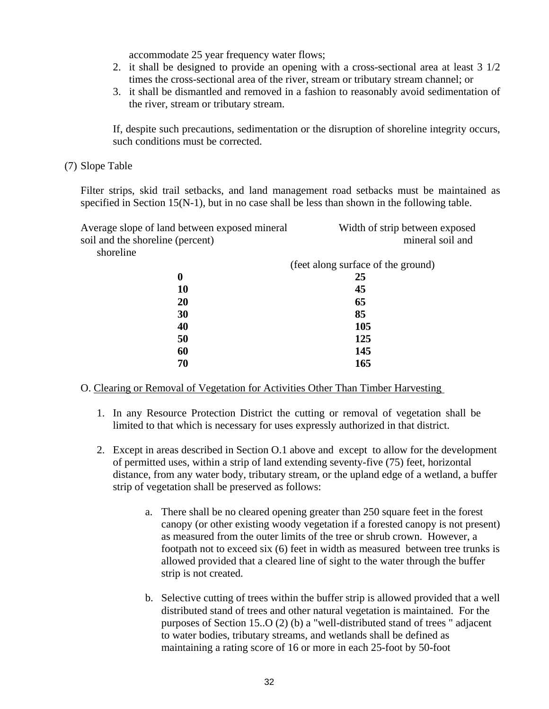accommodate 25 year frequency water flows;

- 2. it shall be designed to provide an opening with a cross-sectional area at least 3 1/2 times the cross-sectional area of the river, stream or tributary stream channel; or
- 3. it shall be dismantled and removed in a fashion to reasonably avoid sedimentation of the river, stream or tributary stream.

If, despite such precautions, sedimentation or the disruption of shoreline integrity occurs, such conditions must be corrected.

(7) Slope Table

Filter strips, skid trail setbacks, and land management road setbacks must be maintained as specified in Section 15(N-1), but in no case shall be less than shown in the following table.

| Average slope of land between exposed mineral | Width of strip between exposed     |
|-----------------------------------------------|------------------------------------|
| soil and the shoreline (percent)              | mineral soil and                   |
| shoreline                                     |                                    |
|                                               | (feet along surface of the ground) |
| $\boldsymbol{0}$                              | 25                                 |
| 10                                            | 45                                 |
| 20                                            | 65                                 |
| 30                                            | 85                                 |
| 40                                            | 105                                |
| 50                                            | 125                                |
| 60                                            | 145                                |
| 70                                            | 165                                |
|                                               |                                    |

#### O. Clearing or Removal of Vegetation for Activities Other Than Timber Harvesting

- 1. In any Resource Protection District the cutting or removal of vegetation shall be limited to that which is necessary for uses expressly authorized in that district.
- 2. Except in areas described in Section O.1 above and except to allow for the development of permitted uses, within a strip of land extending seventy-five (75) feet, horizontal distance, from any water body, tributary stream, or the upland edge of a wetland, a buffer strip of vegetation shall be preserved as follows:
	- a. There shall be no cleared opening greater than 250 square feet in the forest canopy (or other existing woody vegetation if a forested canopy is not present) as measured from the outer limits of the tree or shrub crown. However, a footpath not to exceed six (6) feet in width as measured between tree trunks is allowed provided that a cleared line of sight to the water through the buffer strip is not created.
	- b. Selective cutting of trees within the buffer strip is allowed provided that a well distributed stand of trees and other natural vegetation is maintained. For the purposes of Section 15..O (2) (b) a "well-distributed stand of trees " adjacent to water bodies, tributary streams, and wetlands shall be defined as maintaining a rating score of 16 or more in each 25-foot by 50-foot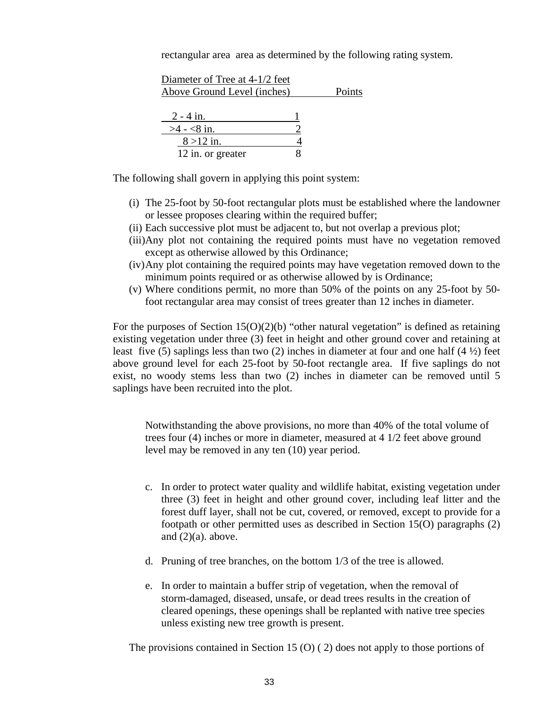rectangular area area as determined by the following rating system.

| Diameter of Tree at 4-1/2 feet<br>Above Ground Level (inches) | Points |
|---------------------------------------------------------------|--------|
| $2 - 4$ in.<br>$>4 - 8$ in.                                   |        |
| $8 > 12$ in.<br>12 in. or greater                             |        |

The following shall govern in applying this point system:

- (i) The 25-foot by 50-foot rectangular plots must be established where the landowner or lessee proposes clearing within the required buffer;
- (ii) Each successive plot must be adjacent to, but not overlap a previous plot;
- (iii)Any plot not containing the required points must have no vegetation removed except as otherwise allowed by this Ordinance;
- (iv)Any plot containing the required points may have vegetation removed down to the minimum points required or as otherwise allowed by is Ordinance;
- (v) Where conditions permit, no more than 50% of the points on any 25-foot by 50 foot rectangular area may consist of trees greater than 12 inches in diameter.

For the purposes of Section  $15(0)(2)(b)$  "other natural vegetation" is defined as retaining existing vegetation under three (3) feet in height and other ground cover and retaining at least five (5) saplings less than two (2) inches in diameter at four and one half (4 $\frac{1}{2}$ ) feet above ground level for each 25-foot by 50-foot rectangle area. If five saplings do not exist, no woody stems less than two (2) inches in diameter can be removed until 5 saplings have been recruited into the plot.

 Notwithstanding the above provisions, no more than 40% of the total volume of trees four (4) inches or more in diameter, measured at 4 1/2 feet above ground level may be removed in any ten (10) year period.

- c. In order to protect water quality and wildlife habitat, existing vegetation under three (3) feet in height and other ground cover, including leaf litter and the forest duff layer, shall not be cut, covered, or removed, except to provide for a footpath or other permitted uses as described in Section 15(O) paragraphs (2) and  $(2)(a)$ . above.
- d. Pruning of tree branches, on the bottom 1/3 of the tree is allowed.
- e. In order to maintain a buffer strip of vegetation, when the removal of storm-damaged, diseased, unsafe, or dead trees results in the creation of cleared openings, these openings shall be replanted with native tree species unless existing new tree growth is present.

The provisions contained in Section 15 (O) ( 2) does not apply to those portions of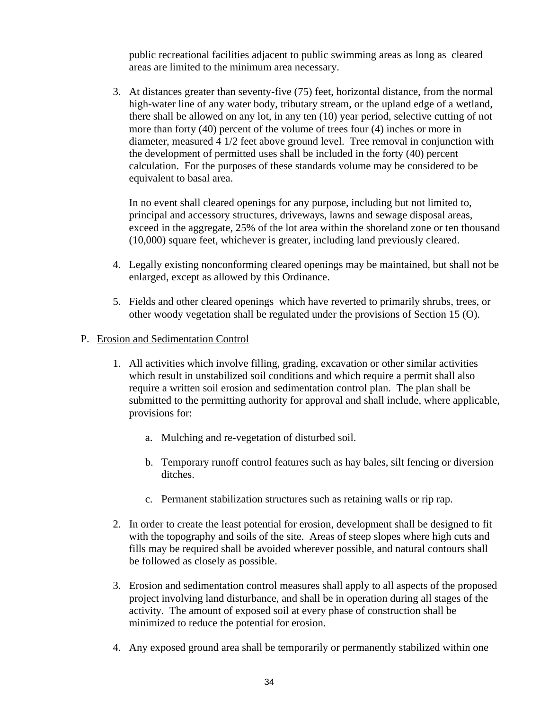public recreational facilities adjacent to public swimming areas as long as cleared areas are limited to the minimum area necessary.

 3. At distances greater than seventy-five (75) feet, horizontal distance, from the normal high-water line of any water body, tributary stream, or the upland edge of a wetland, there shall be allowed on any lot, in any ten (10) year period, selective cutting of not more than forty (40) percent of the volume of trees four (4) inches or more in diameter, measured 4 1/2 feet above ground level. Tree removal in conjunction with the development of permitted uses shall be included in the forty (40) percent calculation. For the purposes of these standards volume may be considered to be equivalent to basal area.

 In no event shall cleared openings for any purpose, including but not limited to, principal and accessory structures, driveways, lawns and sewage disposal areas, exceed in the aggregate, 25% of the lot area within the shoreland zone or ten thousand (10,000) square feet, whichever is greater, including land previously cleared.

- 4. Legally existing nonconforming cleared openings may be maintained, but shall not be enlarged, except as allowed by this Ordinance.
- 5. Fields and other cleared openings which have reverted to primarily shrubs, trees, or other woody vegetation shall be regulated under the provisions of Section 15 (O).

# P. Erosion and Sedimentation Control

- 1. All activities which involve filling, grading, excavation or other similar activities which result in unstabilized soil conditions and which require a permit shall also require a written soil erosion and sedimentation control plan. The plan shall be submitted to the permitting authority for approval and shall include, where applicable, provisions for:
	- a. Mulching and re-vegetation of disturbed soil.
	- b. Temporary runoff control features such as hay bales, silt fencing or diversion ditches.
	- c. Permanent stabilization structures such as retaining walls or rip rap.
- 2. In order to create the least potential for erosion, development shall be designed to fit with the topography and soils of the site. Areas of steep slopes where high cuts and fills may be required shall be avoided wherever possible, and natural contours shall be followed as closely as possible.
- 3. Erosion and sedimentation control measures shall apply to all aspects of the proposed project involving land disturbance, and shall be in operation during all stages of the activity. The amount of exposed soil at every phase of construction shall be minimized to reduce the potential for erosion.
- 4. Any exposed ground area shall be temporarily or permanently stabilized within one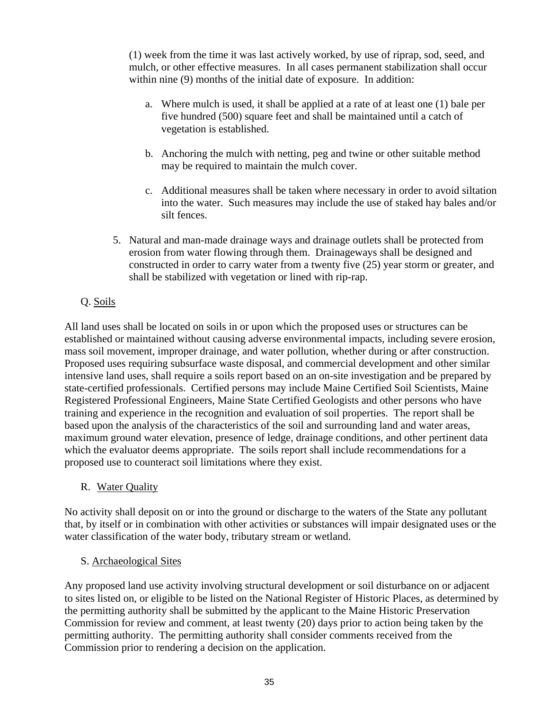(1) week from the time it was last actively worked, by use of riprap, sod, seed, and mulch, or other effective measures. In all cases permanent stabilization shall occur within nine (9) months of the initial date of exposure. In addition:

- a. Where mulch is used, it shall be applied at a rate of at least one (1) bale per five hundred (500) square feet and shall be maintained until a catch of vegetation is established.
- b. Anchoring the mulch with netting, peg and twine or other suitable method may be required to maintain the mulch cover.
- c. Additional measures shall be taken where necessary in order to avoid siltation into the water. Such measures may include the use of staked hay bales and/or silt fences.
- 5. Natural and man-made drainage ways and drainage outlets shall be protected from erosion from water flowing through them. Drainageways shall be designed and constructed in order to carry water from a twenty five (25) year storm or greater, and shall be stabilized with vegetation or lined with rip-rap.

# Q. Soils

All land uses shall be located on soils in or upon which the proposed uses or structures can be established or maintained without causing adverse environmental impacts, including severe erosion, mass soil movement, improper drainage, and water pollution, whether during or after construction. Proposed uses requiring subsurface waste disposal, and commercial development and other similar intensive land uses, shall require a soils report based on an on-site investigation and be prepared by state-certified professionals. Certified persons may include Maine Certified Soil Scientists, Maine Registered Professional Engineers, Maine State Certified Geologists and other persons who have training and experience in the recognition and evaluation of soil properties. The report shall be based upon the analysis of the characteristics of the soil and surrounding land and water areas, maximum ground water elevation, presence of ledge, drainage conditions, and other pertinent data which the evaluator deems appropriate. The soils report shall include recommendations for a proposed use to counteract soil limitations where they exist.

R. Water Quality

No activity shall deposit on or into the ground or discharge to the waters of the State any pollutant that, by itself or in combination with other activities or substances will impair designated uses or the water classification of the water body, tributary stream or wetland.

# S. Archaeological Sites

Any proposed land use activity involving structural development or soil disturbance on or adjacent to sites listed on, or eligible to be listed on the National Register of Historic Places, as determined by the permitting authority shall be submitted by the applicant to the Maine Historic Preservation Commission for review and comment, at least twenty (20) days prior to action being taken by the permitting authority. The permitting authority shall consider comments received from the Commission prior to rendering a decision on the application.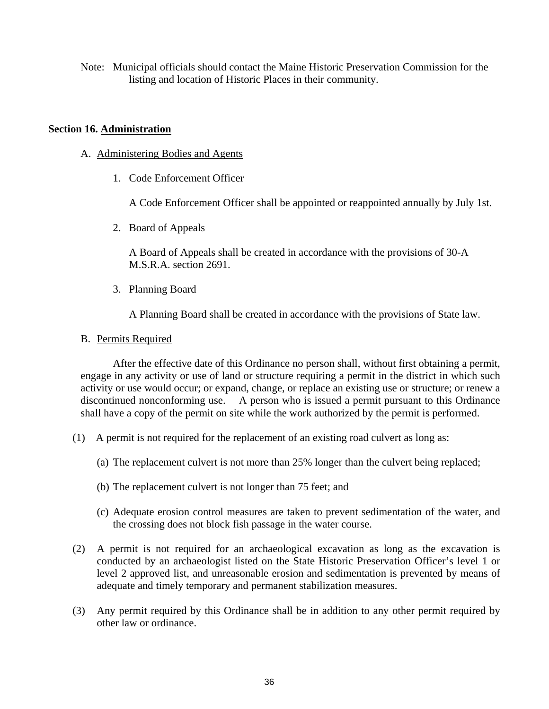Note: Municipal officials should contact the Maine Historic Preservation Commission for the listing and location of Historic Places in their community.

#### **Section 16. Administration**

- A. Administering Bodies and Agents
	- 1. Code Enforcement Officer

A Code Enforcement Officer shall be appointed or reappointed annually by July 1st.

2. Board of Appeals

 A Board of Appeals shall be created in accordance with the provisions of 30-A M.S.R.A. section 2691.

3. Planning Board

A Planning Board shall be created in accordance with the provisions of State law.

#### B. Permits Required

 After the effective date of this Ordinance no person shall, without first obtaining a permit, engage in any activity or use of land or structure requiring a permit in the district in which such activity or use would occur; or expand, change, or replace an existing use or structure; or renew a discontinued nonconforming use. A person who is issued a permit pursuant to this Ordinance shall have a copy of the permit on site while the work authorized by the permit is performed.

- (1) A permit is not required for the replacement of an existing road culvert as long as:
	- (a) The replacement culvert is not more than 25% longer than the culvert being replaced;
	- (b) The replacement culvert is not longer than 75 feet; and
	- (c) Adequate erosion control measures are taken to prevent sedimentation of the water, and the crossing does not block fish passage in the water course.
- (2) A permit is not required for an archaeological excavation as long as the excavation is conducted by an archaeologist listed on the State Historic Preservation Officer's level 1 or level 2 approved list, and unreasonable erosion and sedimentation is prevented by means of adequate and timely temporary and permanent stabilization measures.
- (3) Any permit required by this Ordinance shall be in addition to any other permit required by other law or ordinance.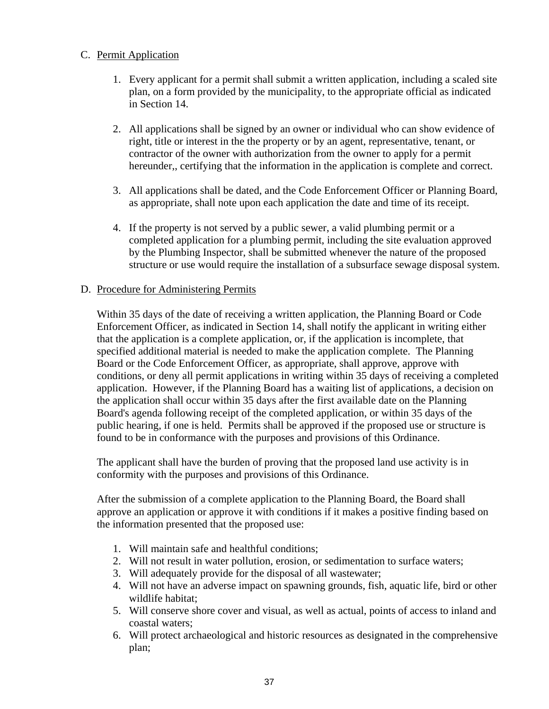# C. Permit Application

- 1. Every applicant for a permit shall submit a written application, including a scaled site plan, on a form provided by the municipality, to the appropriate official as indicated in Section 14.
- 2. All applications shall be signed by an owner or individual who can show evidence of right, title or interest in the the property or by an agent, representative, tenant, or contractor of the owner with authorization from the owner to apply for a permit hereunder,, certifying that the information in the application is complete and correct.
- 3. All applications shall be dated, and the Code Enforcement Officer or Planning Board, as appropriate, shall note upon each application the date and time of its receipt.
- 4. If the property is not served by a public sewer, a valid plumbing permit or a completed application for a plumbing permit, including the site evaluation approved by the Plumbing Inspector, shall be submitted whenever the nature of the proposed structure or use would require the installation of a subsurface sewage disposal system.

# D. Procedure for Administering Permits

 Within 35 days of the date of receiving a written application, the Planning Board or Code Enforcement Officer, as indicated in Section 14, shall notify the applicant in writing either that the application is a complete application, or, if the application is incomplete, that specified additional material is needed to make the application complete. The Planning Board or the Code Enforcement Officer, as appropriate, shall approve, approve with conditions, or deny all permit applications in writing within 35 days of receiving a completed application. However, if the Planning Board has a waiting list of applications, a decision on the application shall occur within 35 days after the first available date on the Planning Board's agenda following receipt of the completed application, or within 35 days of the public hearing, if one is held. Permits shall be approved if the proposed use or structure is found to be in conformance with the purposes and provisions of this Ordinance.

 The applicant shall have the burden of proving that the proposed land use activity is in conformity with the purposes and provisions of this Ordinance.

 After the submission of a complete application to the Planning Board, the Board shall approve an application or approve it with conditions if it makes a positive finding based on the information presented that the proposed use:

- 1. Will maintain safe and healthful conditions;
- 2. Will not result in water pollution, erosion, or sedimentation to surface waters;
- 3. Will adequately provide for the disposal of all wastewater;
- 4. Will not have an adverse impact on spawning grounds, fish, aquatic life, bird or other wildlife habitat;
- 5. Will conserve shore cover and visual, as well as actual, points of access to inland and coastal waters;
- 6. Will protect archaeological and historic resources as designated in the comprehensive plan;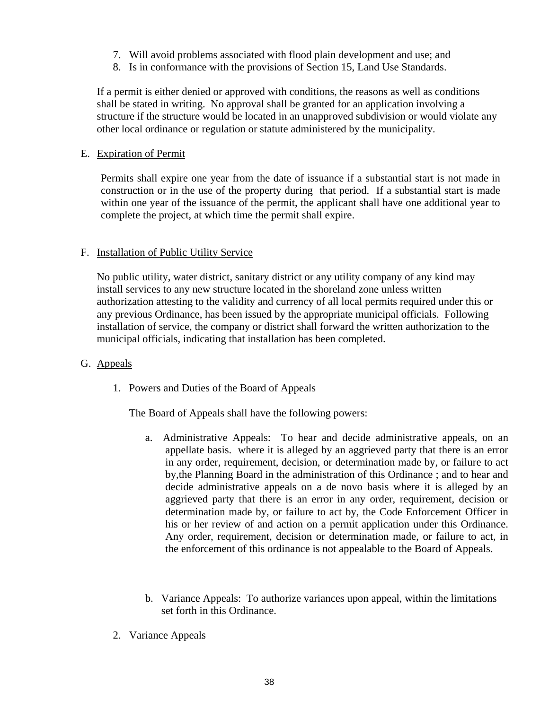- 7. Will avoid problems associated with flood plain development and use; and
- 8. Is in conformance with the provisions of Section 15, Land Use Standards.

 If a permit is either denied or approved with conditions, the reasons as well as conditions shall be stated in writing. No approval shall be granted for an application involving a structure if the structure would be located in an unapproved subdivision or would violate any other local ordinance or regulation or statute administered by the municipality.

# E. Expiration of Permit

 Permits shall expire one year from the date of issuance if a substantial start is not made in construction or in the use of the property during that period. If a substantial start is made within one year of the issuance of the permit, the applicant shall have one additional year to complete the project, at which time the permit shall expire.

# F. Installation of Public Utility Service

 No public utility, water district, sanitary district or any utility company of any kind may install services to any new structure located in the shoreland zone unless written authorization attesting to the validity and currency of all local permits required under this or any previous Ordinance, has been issued by the appropriate municipal officials. Following installation of service, the company or district shall forward the written authorization to the municipal officials, indicating that installation has been completed.

# G. Appeals

1. Powers and Duties of the Board of Appeals

The Board of Appeals shall have the following powers:

- a. Administrative Appeals: To hear and decide administrative appeals, on an appellate basis. where it is alleged by an aggrieved party that there is an error in any order, requirement, decision, or determination made by, or failure to act by,the Planning Board in the administration of this Ordinance ; and to hear and decide administrative appeals on a de novo basis where it is alleged by an aggrieved party that there is an error in any order, requirement, decision or determination made by, or failure to act by, the Code Enforcement Officer in his or her review of and action on a permit application under this Ordinance. Any order, requirement, decision or determination made, or failure to act, in the enforcement of this ordinance is not appealable to the Board of Appeals.
- b. Variance Appeals: To authorize variances upon appeal, within the limitations set forth in this Ordinance.
- 2. Variance Appeals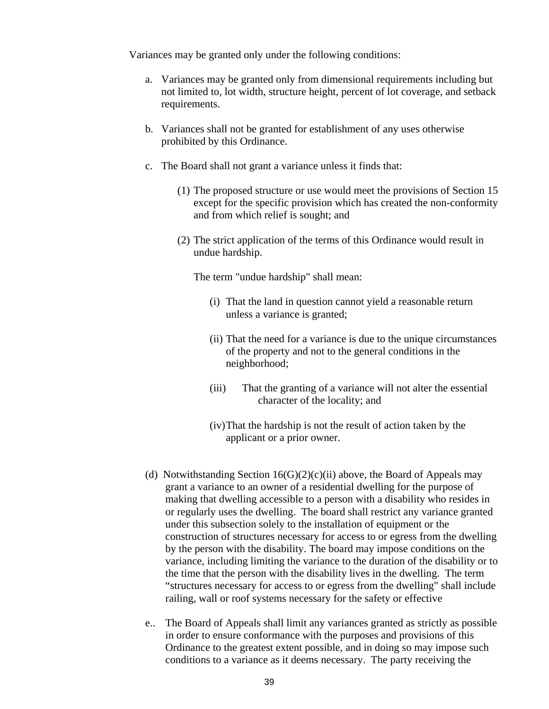Variances may be granted only under the following conditions:

- a. Variances may be granted only from dimensional requirements including but not limited to, lot width, structure height, percent of lot coverage, and setback requirements.
- b. Variances shall not be granted for establishment of any uses otherwise prohibited by this Ordinance.
- c. The Board shall not grant a variance unless it finds that:
	- (1) The proposed structure or use would meet the provisions of Section 15 except for the specific provision which has created the non-conformity and from which relief is sought; and
	- (2) The strict application of the terms of this Ordinance would result in undue hardship.

The term "undue hardship" shall mean:

- (i) That the land in question cannot yield a reasonable return unless a variance is granted;
- (ii) That the need for a variance is due to the unique circumstances of the property and not to the general conditions in the neighborhood;
- (iii) That the granting of a variance will not alter the essential character of the locality; and
- (iv) That the hardship is not the result of action taken by the applicant or a prior owner.
- (d) Notwithstanding Section  $16(G)(2)(c)(ii)$  above, the Board of Appeals may grant a variance to an owner of a residential dwelling for the purpose of making that dwelling accessible to a person with a disability who resides in or regularly uses the dwelling. The board shall restrict any variance granted under this subsection solely to the installation of equipment or the construction of structures necessary for access to or egress from the dwelling by the person with the disability. The board may impose conditions on the variance, including limiting the variance to the duration of the disability or to the time that the person with the disability lives in the dwelling. The term "structures necessary for access to or egress from the dwelling" shall include railing, wall or roof systems necessary for the safety or effective
- e.. The Board of Appeals shall limit any variances granted as strictly as possible in order to ensure conformance with the purposes and provisions of this Ordinance to the greatest extent possible, and in doing so may impose such conditions to a variance as it deems necessary. The party receiving the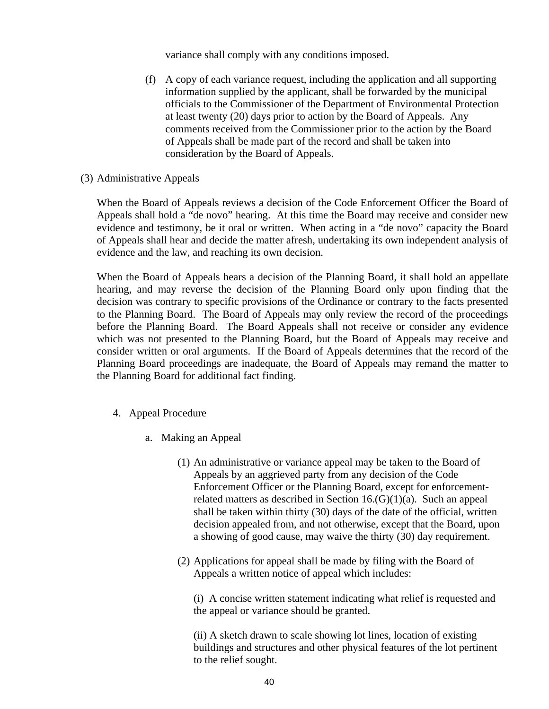variance shall comply with any conditions imposed.

(f) A copy of each variance request, including the application and all supporting information supplied by the applicant, shall be forwarded by the municipal officials to the Commissioner of the Department of Environmental Protection at least twenty (20) days prior to action by the Board of Appeals. Any comments received from the Commissioner prior to the action by the Board of Appeals shall be made part of the record and shall be taken into consideration by the Board of Appeals.

# (3) Administrative Appeals

When the Board of Appeals reviews a decision of the Code Enforcement Officer the Board of Appeals shall hold a "de novo" hearing. At this time the Board may receive and consider new evidence and testimony, be it oral or written. When acting in a "de novo" capacity the Board of Appeals shall hear and decide the matter afresh, undertaking its own independent analysis of evidence and the law, and reaching its own decision.

When the Board of Appeals hears a decision of the Planning Board, it shall hold an appellate hearing, and may reverse the decision of the Planning Board only upon finding that the decision was contrary to specific provisions of the Ordinance or contrary to the facts presented to the Planning Board. The Board of Appeals may only review the record of the proceedings before the Planning Board. The Board Appeals shall not receive or consider any evidence which was not presented to the Planning Board, but the Board of Appeals may receive and consider written or oral arguments. If the Board of Appeals determines that the record of the Planning Board proceedings are inadequate, the Board of Appeals may remand the matter to the Planning Board for additional fact finding.

- 4. Appeal Procedure
	- a. Making an Appeal
		- (1) An administrative or variance appeal may be taken to the Board of Appeals by an aggrieved party from any decision of the Code Enforcement Officer or the Planning Board, except for enforcementrelated matters as described in Section  $16.(G)(1)(a)$ . Such an appeal shall be taken within thirty (30) days of the date of the official, written decision appealed from, and not otherwise, except that the Board, upon a showing of good cause, may waive the thirty (30) day requirement.
		- (2) Applications for appeal shall be made by filing with the Board of Appeals a written notice of appeal which includes:

 (i) A concise written statement indicating what relief is requested and the appeal or variance should be granted.

 (ii) A sketch drawn to scale showing lot lines, location of existing buildings and structures and other physical features of the lot pertinent to the relief sought.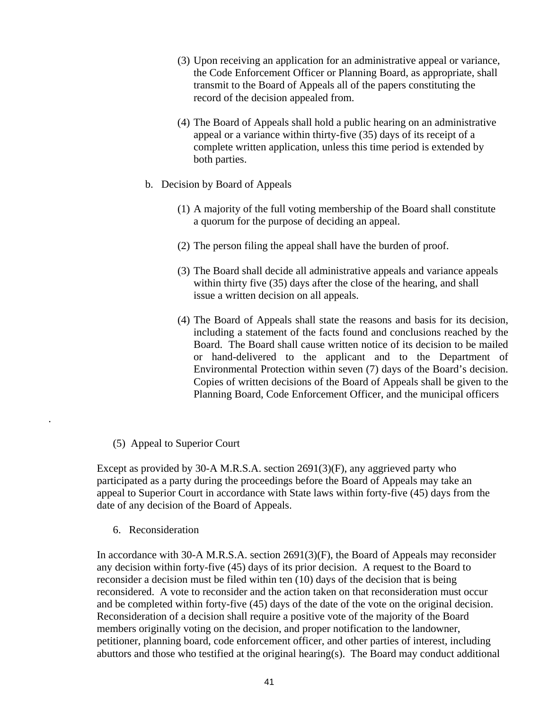- (3) Upon receiving an application for an administrative appeal or variance, the Code Enforcement Officer or Planning Board, as appropriate, shall transmit to the Board of Appeals all of the papers constituting the record of the decision appealed from.
- (4) The Board of Appeals shall hold a public hearing on an administrative appeal or a variance within thirty-five (35) days of its receipt of a complete written application, unless this time period is extended by both parties.
- b. Decision by Board of Appeals
	- (1) A majority of the full voting membership of the Board shall constitute a quorum for the purpose of deciding an appeal.
	- (2) The person filing the appeal shall have the burden of proof.
	- (3) The Board shall decide all administrative appeals and variance appeals within thirty five (35) days after the close of the hearing, and shall issue a written decision on all appeals.
	- (4) The Board of Appeals shall state the reasons and basis for its decision, including a statement of the facts found and conclusions reached by the Board. The Board shall cause written notice of its decision to be mailed or hand-delivered to the applicant and to the Department of Environmental Protection within seven (7) days of the Board's decision. Copies of written decisions of the Board of Appeals shall be given to the Planning Board, Code Enforcement Officer, and the municipal officers
- (5) Appeal to Superior Court

 Except as provided by 30-A M.R.S.A. section 2691(3)(F), any aggrieved party who participated as a party during the proceedings before the Board of Appeals may take an appeal to Superior Court in accordance with State laws within forty-five (45) days from the date of any decision of the Board of Appeals.

6. Reconsideration

.

 In accordance with 30-A M.R.S.A. section 2691(3)(F), the Board of Appeals may reconsider any decision within forty-five (45) days of its prior decision. A request to the Board to reconsider a decision must be filed within ten (10) days of the decision that is being reconsidered. A vote to reconsider and the action taken on that reconsideration must occur and be completed within forty-five (45) days of the date of the vote on the original decision. Reconsideration of a decision shall require a positive vote of the majority of the Board members originally voting on the decision, and proper notification to the landowner, petitioner, planning board, code enforcement officer, and other parties of interest, including abuttors and those who testified at the original hearing(s). The Board may conduct additional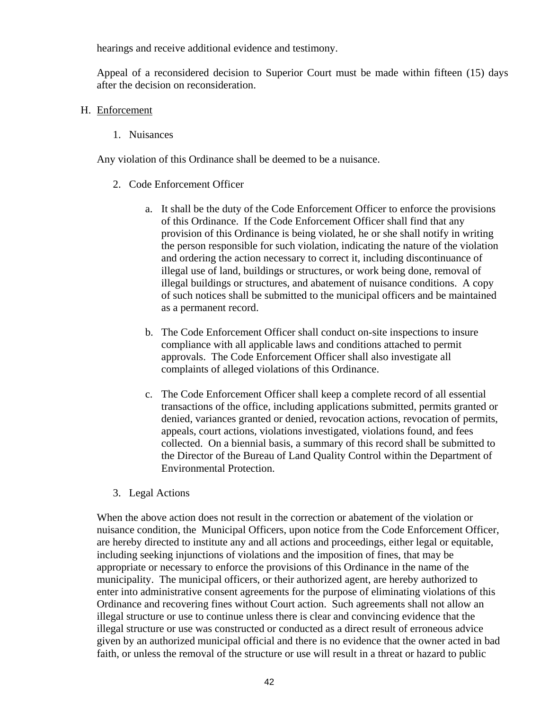hearings and receive additional evidence and testimony.

Appeal of a reconsidered decision to Superior Court must be made within fifteen (15) days after the decision on reconsideration.

- H. Enforcement
	- 1. Nuisances

Any violation of this Ordinance shall be deemed to be a nuisance.

- 2. Code Enforcement Officer
	- a. It shall be the duty of the Code Enforcement Officer to enforce the provisions of this Ordinance. If the Code Enforcement Officer shall find that any provision of this Ordinance is being violated, he or she shall notify in writing the person responsible for such violation, indicating the nature of the violation and ordering the action necessary to correct it, including discontinuance of illegal use of land, buildings or structures, or work being done, removal of illegal buildings or structures, and abatement of nuisance conditions. A copy of such notices shall be submitted to the municipal officers and be maintained as a permanent record.
	- b. The Code Enforcement Officer shall conduct on-site inspections to insure compliance with all applicable laws and conditions attached to permit approvals. The Code Enforcement Officer shall also investigate all complaints of alleged violations of this Ordinance.
	- c. The Code Enforcement Officer shall keep a complete record of all essential transactions of the office, including applications submitted, permits granted or denied, variances granted or denied, revocation actions, revocation of permits, appeals, court actions, violations investigated, violations found, and fees collected. On a biennial basis, a summary of this record shall be submitted to the Director of the Bureau of Land Quality Control within the Department of Environmental Protection.
- 3. Legal Actions

 When the above action does not result in the correction or abatement of the violation or nuisance condition, the Municipal Officers, upon notice from the Code Enforcement Officer, are hereby directed to institute any and all actions and proceedings, either legal or equitable, including seeking injunctions of violations and the imposition of fines, that may be appropriate or necessary to enforce the provisions of this Ordinance in the name of the municipality. The municipal officers, or their authorized agent, are hereby authorized to enter into administrative consent agreements for the purpose of eliminating violations of this Ordinance and recovering fines without Court action. Such agreements shall not allow an illegal structure or use to continue unless there is clear and convincing evidence that the illegal structure or use was constructed or conducted as a direct result of erroneous advice given by an authorized municipal official and there is no evidence that the owner acted in bad faith, or unless the removal of the structure or use will result in a threat or hazard to public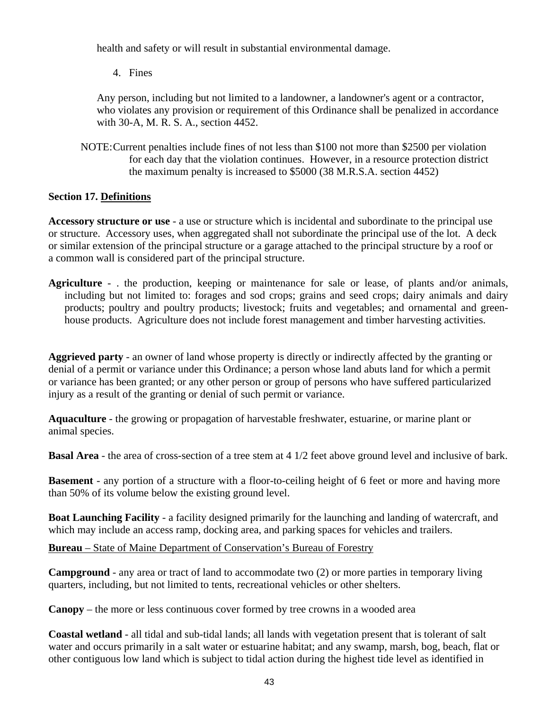health and safety or will result in substantial environmental damage.

4. Fines

 Any person, including but not limited to a landowner, a landowner's agent or a contractor, who violates any provision or requirement of this Ordinance shall be penalized in accordance with 30-A, M. R. S. A., section 4452.

 NOTE: Current penalties include fines of not less than \$100 not more than \$2500 per violation for each day that the violation continues. However, in a resource protection district the maximum penalty is increased to \$5000 (38 M.R.S.A. section 4452)

# **Section 17. Definitions**

**Accessory structure or use** - a use or structure which is incidental and subordinate to the principal use or structure. Accessory uses, when aggregated shall not subordinate the principal use of the lot. A deck or similar extension of the principal structure or a garage attached to the principal structure by a roof or a common wall is considered part of the principal structure.

**Agriculture** - . the production, keeping or maintenance for sale or lease, of plants and/or animals, including but not limited to: forages and sod crops; grains and seed crops; dairy animals and dairy products; poultry and poultry products; livestock; fruits and vegetables; and ornamental and greenhouse products. Agriculture does not include forest management and timber harvesting activities.

**Aggrieved party** - an owner of land whose property is directly or indirectly affected by the granting or denial of a permit or variance under this Ordinance; a person whose land abuts land for which a permit or variance has been granted; or any other person or group of persons who have suffered particularized injury as a result of the granting or denial of such permit or variance.

**Aquaculture** - the growing or propagation of harvestable freshwater, estuarine, or marine plant or animal species.

**Basal Area** - the area of cross-section of a tree stem at 4 1/2 feet above ground level and inclusive of bark.

**Basement** - any portion of a structure with a floor-to-ceiling height of 6 feet or more and having more than 50% of its volume below the existing ground level.

**Boat Launching Facility** - a facility designed primarily for the launching and landing of watercraft, and which may include an access ramp, docking area, and parking spaces for vehicles and trailers.

**Bureau** – State of Maine Department of Conservation's Bureau of Forestry

**Campground** - any area or tract of land to accommodate two (2) or more parties in temporary living quarters, including, but not limited to tents, recreational vehicles or other shelters.

**Canopy** – the more or less continuous cover formed by tree crowns in a wooded area

**Coastal wetland** - all tidal and sub-tidal lands; all lands with vegetation present that is tolerant of salt water and occurs primarily in a salt water or estuarine habitat; and any swamp, marsh, bog, beach, flat or other contiguous low land which is subject to tidal action during the highest tide level as identified in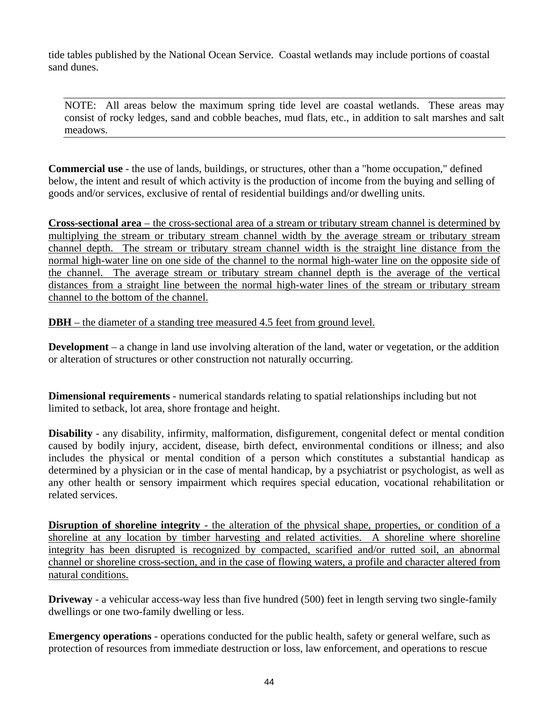tide tables published by the National Ocean Service. Coastal wetlands may include portions of coastal sand dunes.

NOTE: All areas below the maximum spring tide level are coastal wetlands. These areas may consist of rocky ledges, sand and cobble beaches, mud flats, etc., in addition to salt marshes and salt meadows.

**Commercial use** - the use of lands, buildings, or structures, other than a "home occupation," defined below, the intent and result of which activity is the production of income from the buying and selling of goods and/or services, exclusive of rental of residential buildings and/or dwelling units.

<sup>U</sup>**Cross-sectional area** – the cross-sectional area of a stream or tributary stream channel is determined by multiplying the stream or tributary stream channel width by the average stream or tributary stream channel depth. The stream or tributary stream channel width is the straight line distance from the normal high-water line on one side of the channel to the normal high-water line on the opposite side of the channel. The average stream or tributary stream channel depth is the average of the vertical distances from a straight line between the normal high-water lines of the stream or tributary stream channel to the bottom of the channel.

**DBH** – the diameter of a standing tree measured 4.5 feet from ground level.

**Development** – a change in land use involving alteration of the land, water or vegetation, or the addition or alteration of structures or other construction not naturally occurring.

**Dimensional requirements** - numerical standards relating to spatial relationships including but not limited to setback, lot area, shore frontage and height.

**Disability** - any disability, infirmity, malformation, disfigurement, congenital defect or mental condition caused by bodily injury, accident, disease, birth defect, environmental conditions or illness; and also includes the physical or mental condition of a person which constitutes a substantial handicap as determined by a physician or in the case of mental handicap, by a psychiatrist or psychologist, as well as any other health or sensory impairment which requires special education, vocational rehabilitation or related services.

**Disruption of shoreline integrity** - the alteration of the physical shape, properties, or condition of a shoreline at any location by timber harvesting and related activities. A shoreline where shoreline integrity has been disrupted is recognized by compacted, scarified and/or rutted soil, an abnormal channel or shoreline cross-section, and in the case of flowing waters, a profile and character altered from natural conditions.

**Driveway** - a vehicular access-way less than five hundred (500) feet in length serving two single-family dwellings or one two-family dwelling or less.

**Emergency operations** - operations conducted for the public health, safety or general welfare, such as protection of resources from immediate destruction or loss, law enforcement, and operations to rescue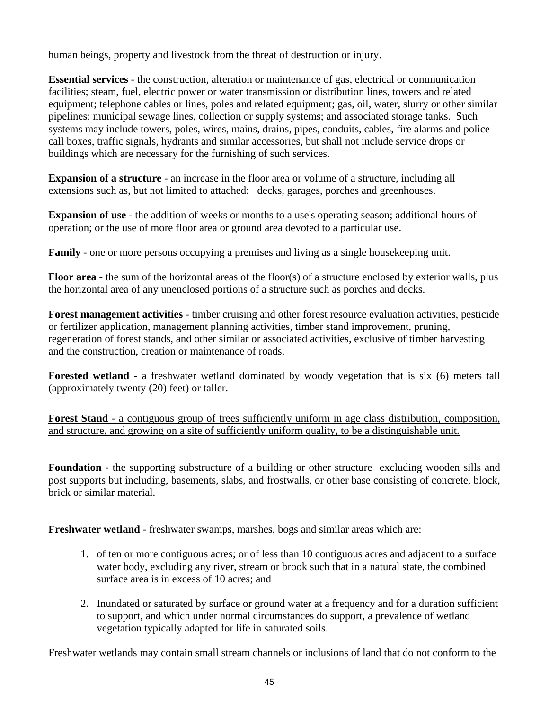human beings, property and livestock from the threat of destruction or injury.

**Essential services** - the construction, alteration or maintenance of gas, electrical or communication facilities; steam, fuel, electric power or water transmission or distribution lines, towers and related equipment; telephone cables or lines, poles and related equipment; gas, oil, water, slurry or other similar pipelines; municipal sewage lines, collection or supply systems; and associated storage tanks. Such systems may include towers, poles, wires, mains, drains, pipes, conduits, cables, fire alarms and police call boxes, traffic signals, hydrants and similar accessories, but shall not include service drops or buildings which are necessary for the furnishing of such services.

**Expansion of a structure** - an increase in the floor area or volume of a structure, including all extensions such as, but not limited to attached: decks, garages, porches and greenhouses.

**Expansion of use** - the addition of weeks or months to a use's operating season; additional hours of operation; or the use of more floor area or ground area devoted to a particular use.

**Family** - one or more persons occupying a premises and living as a single house keeping unit.

**Floor area** - the sum of the horizontal areas of the floor(s) of a structure enclosed by exterior walls, plus the horizontal area of any unenclosed portions of a structure such as porches and decks.

**Forest management activities** - timber cruising and other forest resource evaluation activities, pesticide or fertilizer application, management planning activities, timber stand improvement, pruning, regeneration of forest stands, and other similar or associated activities, exclusive of timber harvesting and the construction, creation or maintenance of roads.

**Forested wetland** - a freshwater wetland dominated by woody vegetation that is six (6) meters tall (approximately twenty (20) feet) or taller.

Forest Stand - a contiguous group of trees sufficiently uniform in age class distribution, composition, and structure, and growing on a site of sufficiently uniform quality, to be a distinguishable unit.

**Foundation** - the supporting substructure of a building or other structure excluding wooden sills and post supports but including, basements, slabs, and frostwalls, or other base consisting of concrete, block, brick or similar material.

**Freshwater wetland** - freshwater swamps, marshes, bogs and similar areas which are:

- 1. of ten or more contiguous acres; or of less than 10 contiguous acres and adjacent to a surface water body, excluding any river, stream or brook such that in a natural state, the combined surface area is in excess of 10 acres; and
- 2. Inundated or saturated by surface or ground water at a frequency and for a duration sufficient to support, and which under normal circumstances do support, a prevalence of wetland vegetation typically adapted for life in saturated soils.

Freshwater wetlands may contain small stream channels or inclusions of land that do not conform to the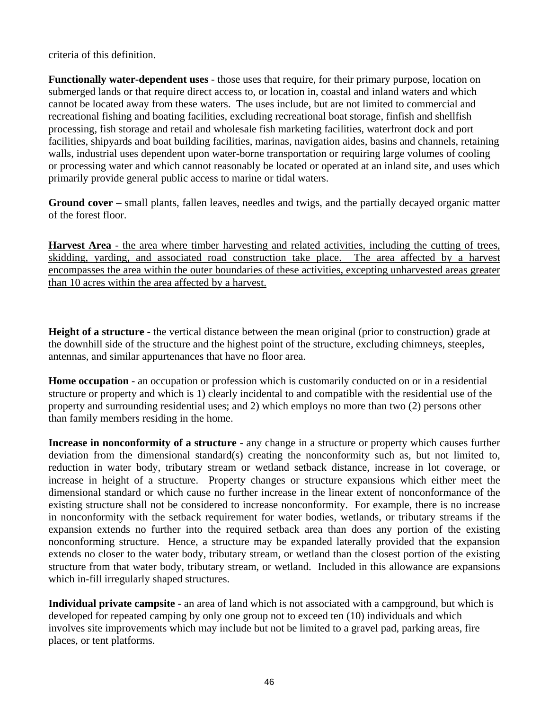criteria of this definition.

**Functionally water-dependent uses** - those uses that require, for their primary purpose, location on submerged lands or that require direct access to, or location in, coastal and inland waters and which cannot be located away from these waters. The uses include, but are not limited to commercial and recreational fishing and boating facilities, excluding recreational boat storage, finfish and shellfish processing, fish storage and retail and wholesale fish marketing facilities, waterfront dock and port facilities, shipyards and boat building facilities, marinas, navigation aides, basins and channels, retaining walls, industrial uses dependent upon water-borne transportation or requiring large volumes of cooling or processing water and which cannot reasonably be located or operated at an inland site, and uses which primarily provide general public access to marine or tidal waters.

**Ground cover** – small plants, fallen leaves, needles and twigs, and the partially decayed organic matter of the forest floor.

Harvest Area - the area where timber harvesting and related activities, including the cutting of trees, skidding, yarding, and associated road construction take place. The area affected by a harvest encompasses the area within the outer boundaries of these activities, excepting unharvested areas greater than 10 acres within the area affected by a harvest.

**Height of a structure** - the vertical distance between the mean original (prior to construction) grade at the downhill side of the structure and the highest point of the structure, excluding chimneys, steeples, antennas, and similar appurtenances that have no floor area.

**Home occupation** - an occupation or profession which is customarily conducted on or in a residential structure or property and which is 1) clearly incidental to and compatible with the residential use of the property and surrounding residential uses; and 2) which employs no more than two (2) persons other than family members residing in the home.

**Increase in nonconformity of a structure -** any change in a structure or property which causes further deviation from the dimensional standard(s) creating the nonconformity such as, but not limited to, reduction in water body, tributary stream or wetland setback distance, increase in lot coverage, or increase in height of a structure. Property changes or structure expansions which either meet the dimensional standard or which cause no further increase in the linear extent of nonconformance of the existing structure shall not be considered to increase nonconformity. For example, there is no increase in nonconformity with the setback requirement for water bodies, wetlands, or tributary streams if the expansion extends no further into the required setback area than does any portion of the existing nonconforming structure. Hence, a structure may be expanded laterally provided that the expansion extends no closer to the water body, tributary stream, or wetland than the closest portion of the existing structure from that water body, tributary stream, or wetland. Included in this allowance are expansions which in-fill irregularly shaped structures.

**Individual private campsite** - an area of land which is not associated with a campground, but which is developed for repeated camping by only one group not to exceed ten (10) individuals and which involves site improvements which may include but not be limited to a gravel pad, parking areas, fire places, or tent platforms.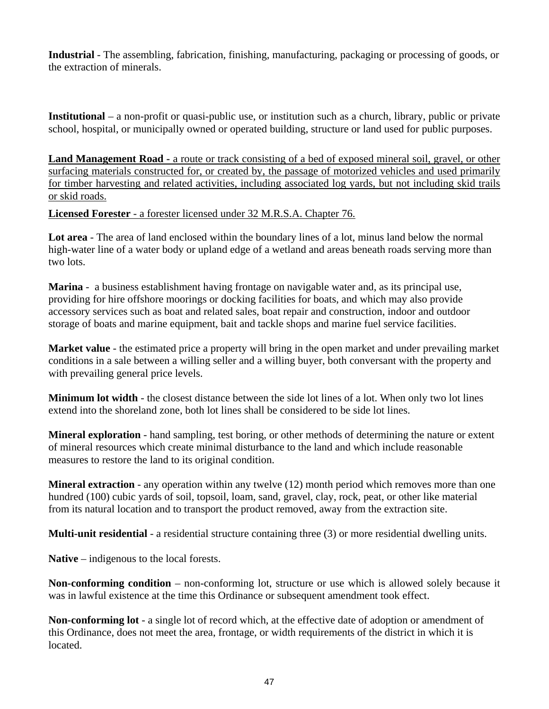**Industrial** - The assembling, fabrication, finishing, manufacturing, packaging or processing of goods, or the extraction of minerals.

**Institutional** – a non-profit or quasi-public use, or institution such as a church, library, public or private school, hospital, or municipally owned or operated building, structure or land used for public purposes.

Land Management Road - a route or track consisting of a bed of exposed mineral soil, gravel, or other surfacing materials constructed for, or created by, the passage of motorized vehicles and used primarily for timber harvesting and related activities, including associated log yards, but not including skid trails or skid roads.

<sup>U</sup>**Licensed Forester** - a forester licensed under 32 M.R.S.A. Chapter 76.

**Lot area** - The area of land enclosed within the boundary lines of a lot, minus land below the normal high-water line of a water body or upland edge of a wetland and areas beneath roads serving more than two lots.

**Marina** - a business establishment having frontage on navigable water and, as its principal use, providing for hire offshore moorings or docking facilities for boats, and which may also provide accessory services such as boat and related sales, boat repair and construction, indoor and outdoor storage of boats and marine equipment, bait and tackle shops and marine fuel service facilities.

**Market value** - the estimated price a property will bring in the open market and under prevailing market conditions in a sale between a willing seller and a willing buyer, both conversant with the property and with prevailing general price levels.

**Minimum lot width** - the closest distance between the side lot lines of a lot. When only two lot lines extend into the shoreland zone, both lot lines shall be considered to be side lot lines.

**Mineral exploration** - hand sampling, test boring, or other methods of determining the nature or extent of mineral resources which create minimal disturbance to the land and which include reasonable measures to restore the land to its original condition.

**Mineral extraction** - any operation within any twelve (12) month period which removes more than one hundred (100) cubic yards of soil, topsoil, loam, sand, gravel, clay, rock, peat, or other like material from its natural location and to transport the product removed, away from the extraction site.

**Multi-unit residential** - a residential structure containing three (3) or more residential dwelling units.

**Native** – indigenous to the local forests.

**Non-conforming condition** – non-conforming lot, structure or use which is allowed solely because it was in lawful existence at the time this Ordinance or subsequent amendment took effect.

**Non-conforming lot** - a single lot of record which, at the effective date of adoption or amendment of this Ordinance, does not meet the area, frontage, or width requirements of the district in which it is located.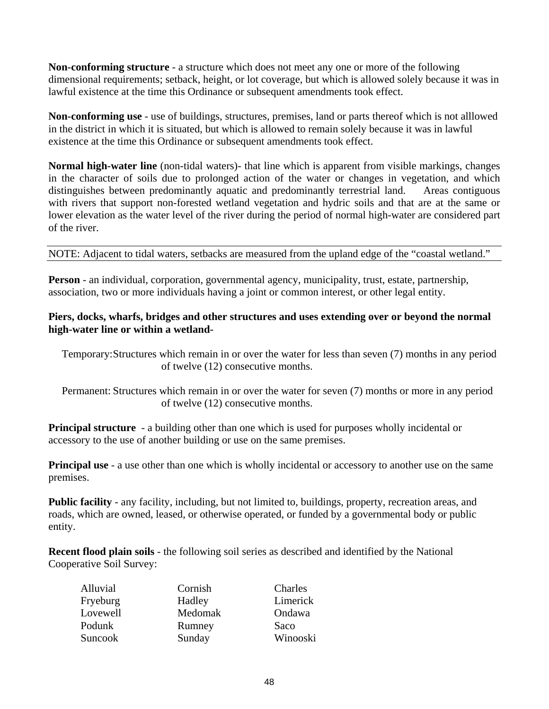**Non-conforming structure** - a structure which does not meet any one or more of the following dimensional requirements; setback, height, or lot coverage, but which is allowed solely because it was in lawful existence at the time this Ordinance or subsequent amendments took effect.

**Non-conforming use** - use of buildings, structures, premises, land or parts thereof which is not alllowed in the district in which it is situated, but which is allowed to remain solely because it was in lawful existence at the time this Ordinance or subsequent amendments took effect.

**Normal high-water line** (non-tidal waters)- that line which is apparent from visible markings, changes in the character of soils due to prolonged action of the water or changes in vegetation, and which distinguishes between predominantly aquatic and predominantly terrestrial land. Areas contiguous with rivers that support non-forested wetland vegetation and hydric soils and that are at the same or lower elevation as the water level of the river during the period of normal high-water are considered part of the river.

NOTE: Adjacent to tidal waters, setbacks are measured from the upland edge of the "coastal wetland."

**Person** - an individual, corporation, governmental agency, municipality, trust, estate, partnership, association, two or more individuals having a joint or common interest, or other legal entity.

# **Piers, docks, wharfs, bridges and other structures and uses extending over or beyond the normal high-water line or within a wetland-**

 Temporary: Structures which remain in or over the water for less than seven (7) months in any period of twelve (12) consecutive months.

 Permanent: Structures which remain in or over the water for seven (7) months or more in any period of twelve (12) consecutive months.

**Principal structure** - a building other than one which is used for purposes wholly incidental or accessory to the use of another building or use on the same premises.

**Principal use** - a use other than one which is wholly incidental or accessory to another use on the same premises.

**Public facility** - any facility, including, but not limited to, buildings, property, recreation areas, and roads, which are owned, leased, or otherwise operated, or funded by a governmental body or public entity.

**Recent flood plain soils** - the following soil series as described and identified by the National Cooperative Soil Survey:

| Alluvial       | Cornish | Charles  |
|----------------|---------|----------|
| Fryeburg       | Hadley  | Limerick |
| Lovewell       | Medomak | Ondawa   |
| Podunk         | Rumney  | Saco     |
| <b>Suncook</b> | Sunday  | Winooski |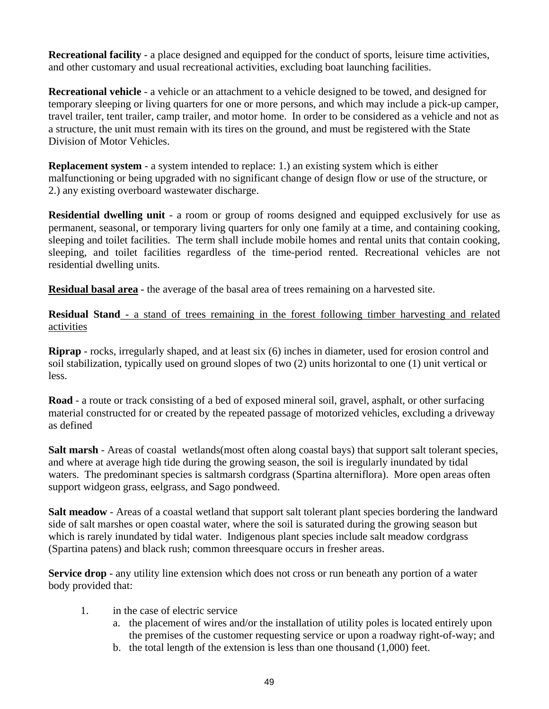**Recreational facility** - a place designed and equipped for the conduct of sports, leisure time activities, and other customary and usual recreational activities, excluding boat launching facilities.

**Recreational vehicle** - a vehicle or an attachment to a vehicle designed to be towed, and designed for temporary sleeping or living quarters for one or more persons, and which may include a pick-up camper, travel trailer, tent trailer, camp trailer, and motor home. In order to be considered as a vehicle and not as a structure, the unit must remain with its tires on the ground, and must be registered with the State Division of Motor Vehicles.

**Replacement system** - a system intended to replace: 1.) an existing system which is either malfunctioning or being upgraded with no significant change of design flow or use of the structure, or 2.) any existing overboard wastewater discharge.

**Residential dwelling unit** - a room or group of rooms designed and equipped exclusively for use as permanent, seasonal, or temporary living quarters for only one family at a time, and containing cooking, sleeping and toilet facilities. The term shall include mobile homes and rental units that contain cooking, sleeping, and toilet facilities regardless of the time-period rented. Recreational vehicles are not residential dwelling units.

**Residual basal area** - the average of the basal area of trees remaining on a harvested site.

**Residual Stand** - a stand of trees remaining in the forest following timber harvesting and related activities

**Riprap** - rocks, irregularly shaped, and at least six (6) inches in diameter, used for erosion control and soil stabilization, typically used on ground slopes of two (2) units horizontal to one (1) unit vertical or less.

**Road** - a route or track consisting of a bed of exposed mineral soil, gravel, asphalt, or other surfacing material constructed for or created by the repeated passage of motorized vehicles, excluding a driveway as defined

**Salt marsh** - Areas of coastal wetlands(most often along coastal bays) that support salt tolerant species, and where at average high tide during the growing season, the soil is iregularly inundated by tidal waters. The predominant species is saltmarsh cordgrass (Spartina alterniflora). More open areas often support widgeon grass, eelgrass, and Sago pondweed.

**Salt meadow** - Areas of a coastal wetland that support salt tolerant plant species bordering the landward side of salt marshes or open coastal water, where the soil is saturated during the growing season but which is rarely inundated by tidal water. Indigenous plant species include salt meadow cordgrass (Spartina patens) and black rush; common threesquare occurs in fresher areas.

**Service drop** - any utility line extension which does not cross or run beneath any portion of a water body provided that:

- 1. in the case of electric service
	- a. the placement of wires and/or the installation of utility poles is located entirely upon the premises of the customer requesting service or upon a roadway right-of-way; and
	- b. the total length of the extension is less than one thousand (1,000) feet.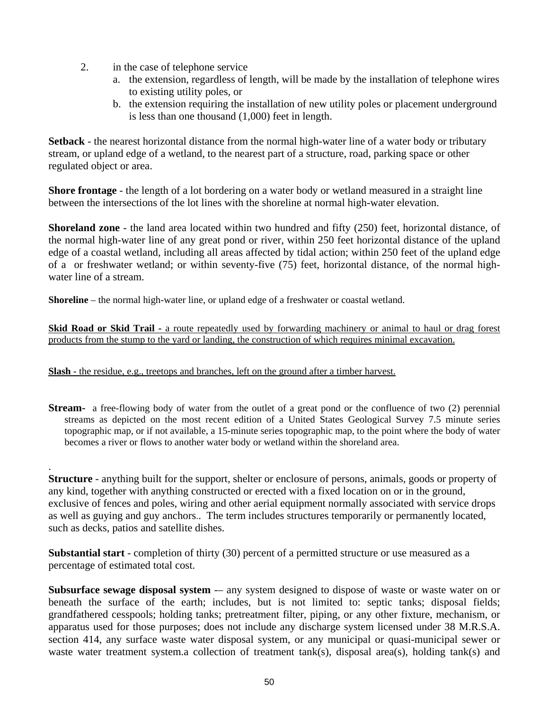- 2. in the case of telephone service
	- a. the extension, regardless of length, will be made by the installation of telephone wires to existing utility poles, or
	- b. the extension requiring the installation of new utility poles or placement underground is less than one thousand (1,000) feet in length.

**Setback** - the nearest horizontal distance from the normal high-water line of a water body or tributary stream, or upland edge of a wetland, to the nearest part of a structure, road, parking space or other regulated object or area.

**Shore frontage** - the length of a lot bordering on a water body or wetland measured in a straight line between the intersections of the lot lines with the shoreline at normal high-water elevation.

**Shoreland zone** - the land area located within two hundred and fifty (250) feet, horizontal distance, of the normal high-water line of any great pond or river, within 250 feet horizontal distance of the upland edge of a coastal wetland, including all areas affected by tidal action; within 250 feet of the upland edge of a or freshwater wetland; or within seventy-five (75) feet, horizontal distance, of the normal highwater line of a stream.

**Shoreline** – the normal high-water line, or upland edge of a freshwater or coastal wetland.

**Skid Road or Skid Trail -** a route repeatedly used by forwarding machinery or animal to haul or drag forest products from the stump to the yard or landing, the construction of which requires minimal excavation.

**Slash** - the residue, e.g., treetops and branches, left on the ground after a timber harvest.

.

**Stream-** a free-flowing body of water from the outlet of a great pond or the confluence of two (2) perennial streams as depicted on the most recent edition of a United States Geological Survey 7.5 minute series topographic map, or if not available, a 15-minute series topographic map, to the point where the body of water becomes a river or flows to another water body or wetland within the shoreland area.

**Structure** - anything built for the support, shelter or enclosure of persons, animals, goods or property of any kind, together with anything constructed or erected with a fixed location on or in the ground, exclusive of fences and poles, wiring and other aerial equipment normally associated with service drops as well as guying and guy anchors.. The term includes structures temporarily or permanently located, such as decks, patios and satellite dishes.

**Substantial start** - completion of thirty (30) percent of a permitted structure or use measured as a percentage of estimated total cost.

**Subsurface sewage disposal system** -- any system designed to dispose of waste or waste water on or beneath the surface of the earth; includes, but is not limited to: septic tanks; disposal fields; grandfathered cesspools; holding tanks; pretreatment filter, piping, or any other fixture, mechanism, or apparatus used for those purposes; does not include any discharge system licensed under 38 M.R.S.A. section 414, any surface waste water disposal system, or any municipal or quasi-municipal sewer or waste water treatment system.a collection of treatment tank(s), disposal area(s), holding tank(s) and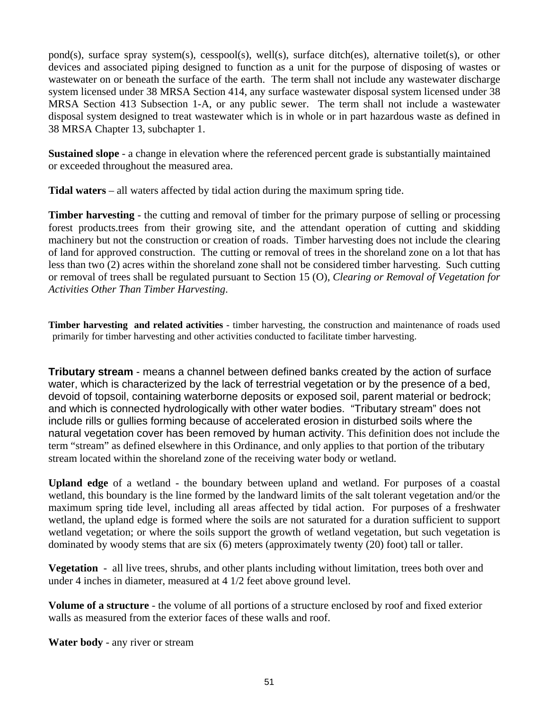pond(s), surface spray system(s), cesspool(s), well(s), surface ditch(es), alternative toilet(s), or other devices and associated piping designed to function as a unit for the purpose of disposing of wastes or wastewater on or beneath the surface of the earth. The term shall not include any wastewater discharge system licensed under 38 MRSA Section 414, any surface wastewater disposal system licensed under 38 MRSA Section 413 Subsection 1-A, or any public sewer. The term shall not include a wastewater disposal system designed to treat wastewater which is in whole or in part hazardous waste as defined in 38 MRSA Chapter 13, subchapter 1.

**Sustained slope** - a change in elevation where the referenced percent grade is substantially maintained or exceeded throughout the measured area.

**Tidal waters** – all waters affected by tidal action during the maximum spring tide.

**Timber harvesting** - the cutting and removal of timber for the primary purpose of selling or processing forest products.trees from their growing site, and the attendant operation of cutting and skidding machinery but not the construction or creation of roads. Timber harvesting does not include the clearing of land for approved construction. The cutting or removal of trees in the shoreland zone on a lot that has less than two (2) acres within the shoreland zone shall not be considered timber harvesting. Such cutting or removal of trees shall be regulated pursuant to Section 15 (O), *Clearing or Removal of Vegetation for Activities Other Than Timber Harvesting*.

**Timber harvesting and related activities** - timber harvesting, the construction and maintenance of roads used primarily for timber harvesting and other activities conducted to facilitate timber harvesting.

**Tributary stream** - means a channel between defined banks created by the action of surface water, which is characterized by the lack of terrestrial vegetation or by the presence of a bed, devoid of topsoil, containing waterborne deposits or exposed soil, parent material or bedrock; and which is connected hydrologically with other water bodies. "Tributary stream" does not include rills or gullies forming because of accelerated erosion in disturbed soils where the natural vegetation cover has been removed by human activity. This definition does not include the term "stream" as defined elsewhere in this Ordinance, and only applies to that portion of the tributary stream located within the shoreland zone of the receiving water body or wetland.

**Upland edge** of a wetland - the boundary between upland and wetland. For purposes of a coastal wetland, this boundary is the line formed by the landward limits of the salt tolerant vegetation and/or the maximum spring tide level, including all areas affected by tidal action. For purposes of a freshwater wetland, the upland edge is formed where the soils are not saturated for a duration sufficient to support wetland vegetation; or where the soils support the growth of wetland vegetation, but such vegetation is dominated by woody stems that are six (6) meters (approximately twenty (20) foot) tall or taller.

**Vegetation** - all live trees, shrubs, and other plants including without limitation, trees both over and under 4 inches in diameter, measured at 4 1/2 feet above ground level.

**Volume of a structure** - the volume of all portions of a structure enclosed by roof and fixed exterior walls as measured from the exterior faces of these walls and roof.

**Water body** - any river or stream